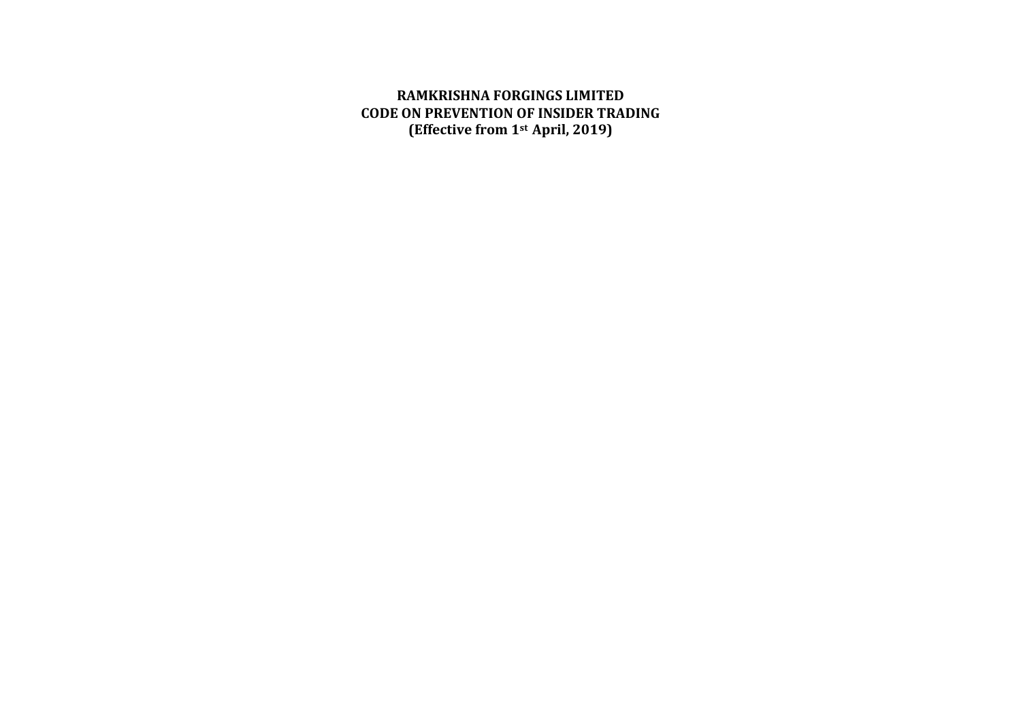**RAMKRISHNA FORGINGS LIMITED CODE ON PREVENTION OF INSIDER TRADING (Effective from 1st April, 2019)**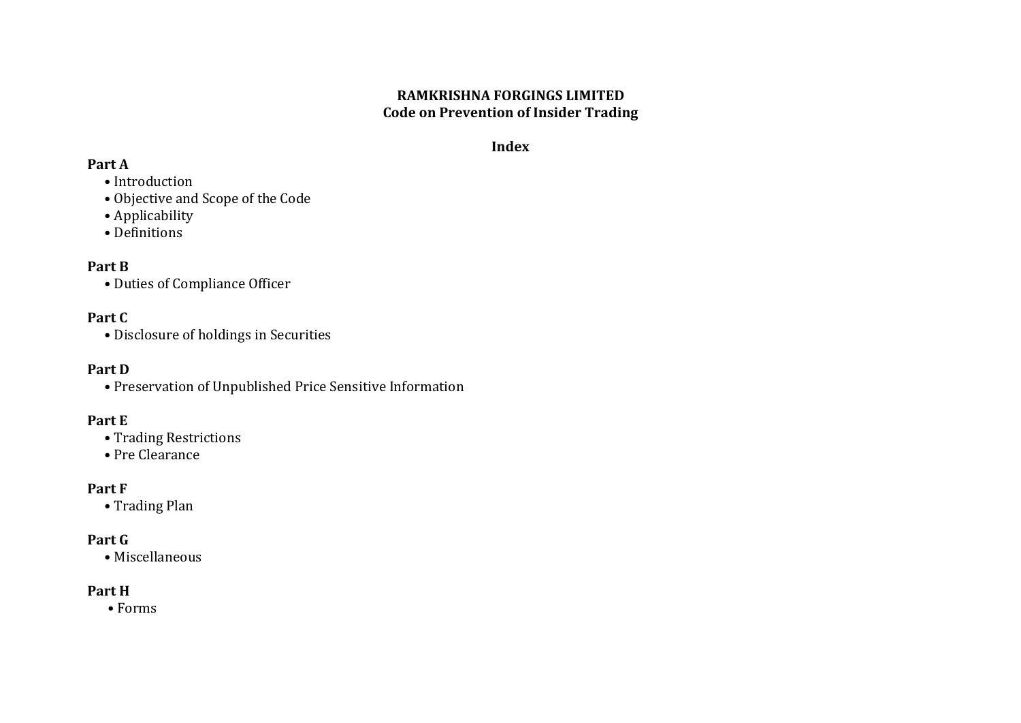# **RAMKRISHNA FORGINGS LIMITED Code on Prevention of Insider Trading**

# **Index**

# **Part A**

- Introduction
- Objective and Scope of the Code
- Applicability
- Definitions

# **Part B**

• Duties of Compliance Officer

# **Part C**

• Disclosure of holdings in Securities

# **Part D**

• Preservation of Unpublished Price Sensitive Information

# **Part E**

- Trading Restrictions
- Pre Clearance

# **Part F**

• Trading Plan

# **Part G**

• Miscellaneous

# **Part H**

• Forms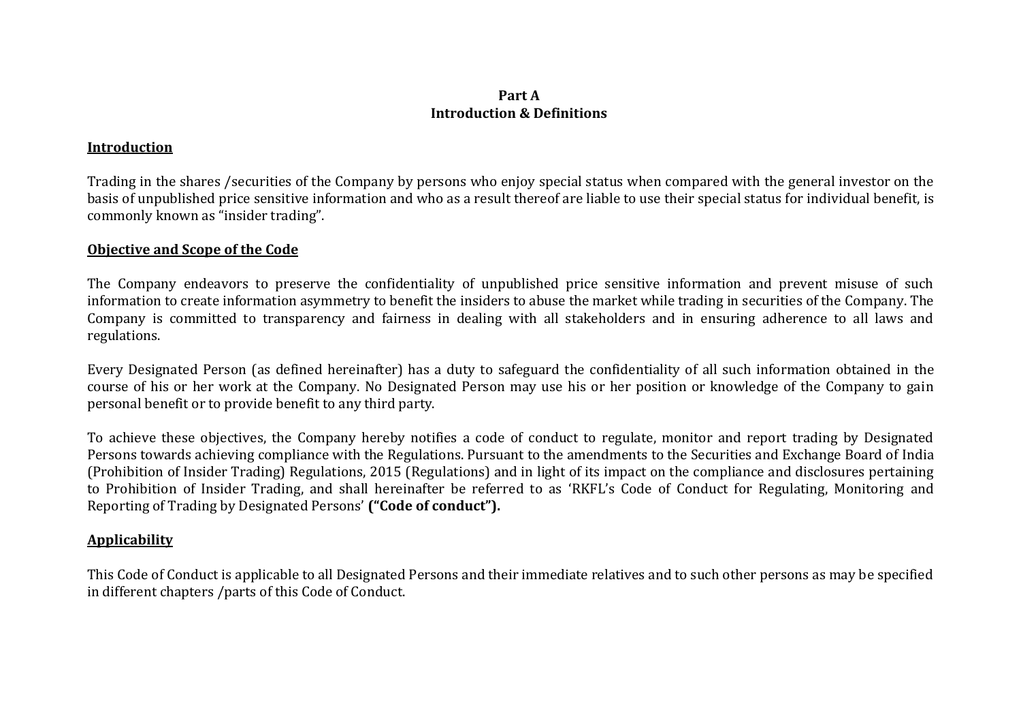# **Part A Introduction & Definitions**

### **Introduction**

Trading in the shares /securities of the Company by persons who enjoy special status when compared with the general investor on the basis of unpublished price sensitive information and who as a result thereof are liable to use their special status for individual benefit, is commonly known as "insider trading".

### **Objective and Scope of the Code**

The Company endeavors to preserve the confidentiality of unpublished price sensitive information and prevent misuse of such information to create information asymmetry to benefit the insiders to abuse the market while trading in securities of the Company. The Company is committed to transparency and fairness in dealing with all stakeholders and in ensuring adherence to all laws and regulations.

Every Designated Person (as defined hereinafter) has a duty to safeguard the confidentiality of all such information obtained in the course of his or her work at the Company. No Designated Person may use his or her position or knowledge of the Company to gain personal benefit or to provide benefit to any third party.

To achieve these objectives, the Company hereby notifies a code of conduct to regulate, monitor and report trading by Designated Persons towards achieving compliance with the Regulations. Pursuant to the amendments to the Securities and Exchange Board of India (Prohibition of Insider Trading) Regulations, 2015 (Regulations) and in light of its impact on the compliance and disclosures pertaining to Prohibition of Insider Trading, and shall hereinafter be referred to as 'RKFL's Code of Conduct for Regulating, Monitoring and Reporting of Trading by Designated Persons' **("Code of conduct").**

# **Applicability**

This Code of Conduct is applicable to all Designated Persons and their immediate relatives and to such other persons as may be specified in different chapters /parts of this Code of Conduct.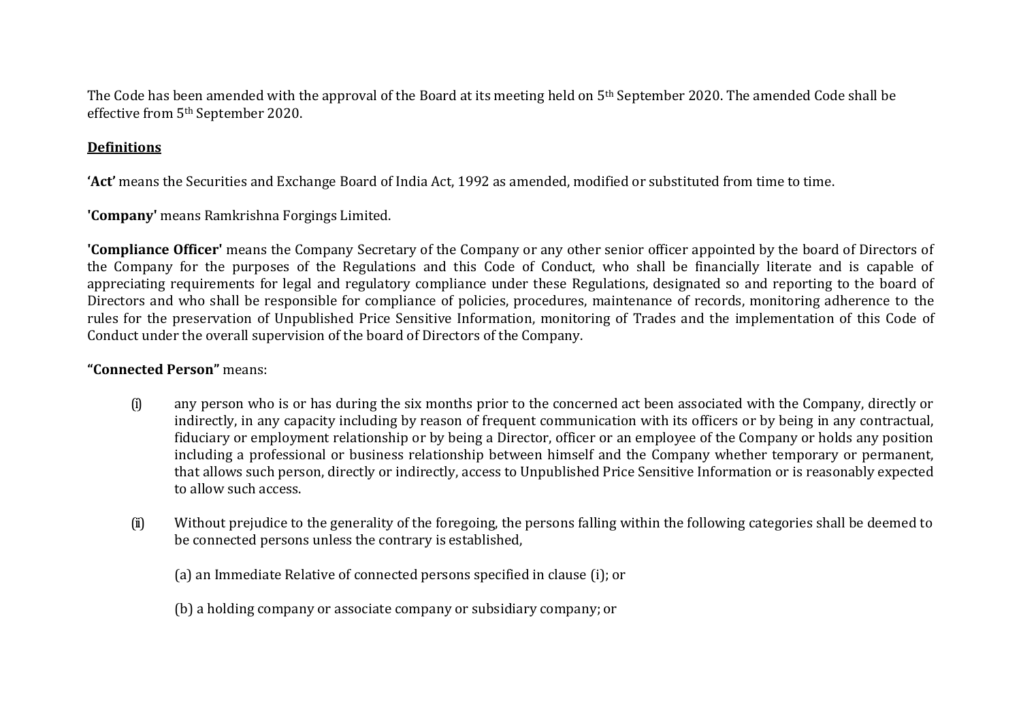The Code has been amended with the approval of the Board at its meeting held on 5th September 2020. The amended Code shall be effective from 5th September 2020.

# **Definitions**

**'Act'** means the Securities and Exchange Board of India Act, 1992 as amended, modified or substituted from time to time.

**'Company'** means Ramkrishna Forgings Limited.

**'Compliance Officer'** means the Company Secretary of the Company or any other senior officer appointed by the board of Directors of the Company for the purposes of the Regulations and this Code of Conduct, who shall be financially literate and is capable of appreciating requirements for legal and regulatory compliance under these Regulations, designated so and reporting to the board of Directors and who shall be responsible for compliance of policies, procedures, maintenance of records, monitoring adherence to the rules for the preservation of Unpublished Price Sensitive Information, monitoring of Trades and the implementation of this Code of Conduct under the overall supervision of the board of Directors of the Company.

# **"Connected Person"** means:

- (i) any person who is or has during the six months prior to the concerned act been associated with the Company, directly or indirectly, in any capacity including by reason of frequent communication with its officers or by being in any contractual, fiduciary or employment relationship or by being a Director, officer or an employee of the Company or holds any position including a professional or business relationship between himself and the Company whether temporary or permanent, that allows such person, directly or indirectly, access to Unpublished Price Sensitive Information or is reasonably expected to allow such access.
- (ii) Without prejudice to the generality of the foregoing, the persons falling within the following categories shall be deemed to be connected persons unless the contrary is established,

(a) an Immediate Relative of connected persons specified in clause (i); or

(b) a holding company or associate company or subsidiary company; or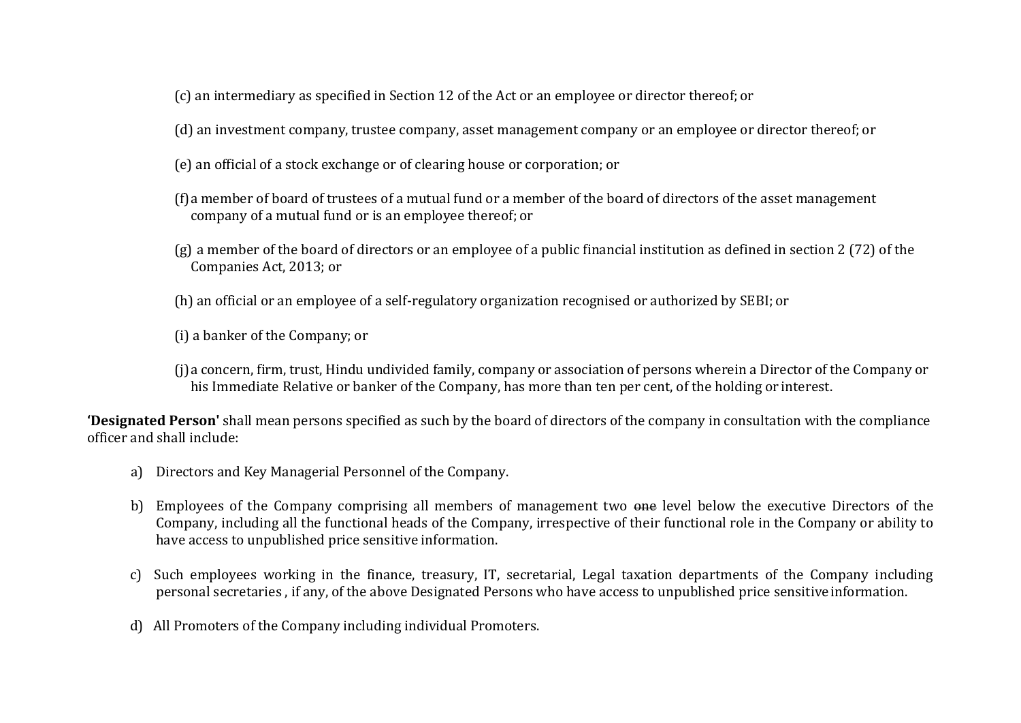- (c) an intermediary as specified in Section 12 of the Act or an employee or director thereof; or
- (d) an investment company, trustee company, asset management company or an employee or director thereof; or
- (e) an official of a stock exchange or of clearing house or corporation; or
- (f)a member of board of trustees of a mutual fund or a member of the board of directors of the asset management company of a mutual fund or is an employee thereof; or
- (g) a member of the board of directors or an employee of a public financial institution as defined in section 2 (72) of the Companies Act, 2013; or
- (h) an official or an employee of a self-regulatory organization recognised or authorized by SEBI; or
- (i) a banker of the Company; or
- (j)a concern, firm, trust, Hindu undivided family, company or association of persons wherein a Director of the Company or his Immediate Relative or banker of the Company, has more than ten per cent, of the holding or interest.

**'Designated Person'** shall mean persons specified as such by the board of directors of the company in consultation with the compliance officer and shall include:

- a) Directors and Key Managerial Personnel of the Company.
- b) Employees of the Company comprising all members of management two one level below the executive Directors of the Company, including all the functional heads of the Company, irrespective of their functional role in the Company or ability to have access to unpublished price sensitive information.
- c) Such employees working in the finance, treasury, IT, secretarial, Legal taxation departments of the Company including personal secretaries , if any, of the above Designated Persons who have access to unpublished price sensitiveinformation.
- d) All Promoters of the Company including individual Promoters.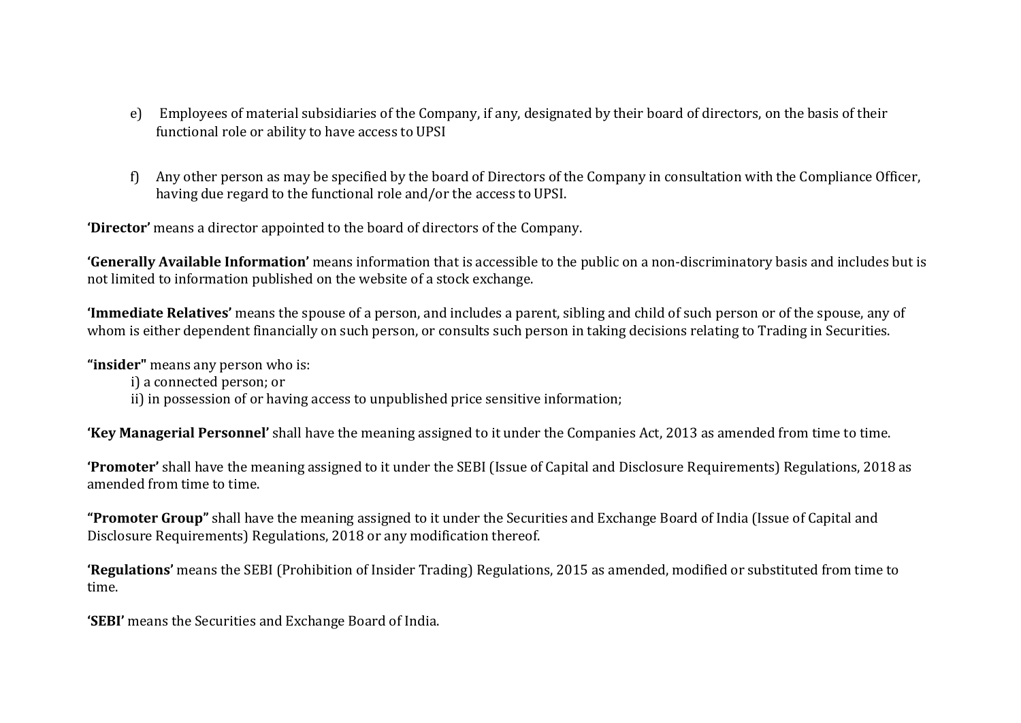- e) Employees of material subsidiaries of the Company, if any, designated by their board of directors, on the basis of their functional role or ability to have access to UPSI
- f) Any other person as may be specified by the board of Directors of the Company in consultation with the Compliance Officer, having due regard to the functional role and/or the access to UPSI.

**'Director'** means a director appointed to the board of directors of the Company.

**'Generally Available Information'** means information that is accessible to the public on a non-discriminatory basis and includes but is not limited to information published on the website of a stock exchange.

**'Immediate Relatives'** means the spouse of a person, and includes a parent, sibling and child of such person or of the spouse, any of whom is either dependent financially on such person, or consults such person in taking decisions relating to Trading in Securities.

**"insider"** means any person who is:

i) a connected person; or

ii) in possession of or having access to unpublished price sensitive information;

**'Key Managerial Personnel'** shall have the meaning assigned to it under the Companies Act, 2013 as amended from time to time.

**'Promoter'** shall have the meaning assigned to it under the SEBI (Issue of Capital and Disclosure Requirements) Regulations, 2018 as amended from time to time.

**"Promoter Group"** shall have the meaning assigned to it under the Securities and Exchange Board of India (Issue of Capital and Disclosure Requirements) Regulations, 2018 or any modification thereof.

**'Regulations'** means the SEBI (Prohibition of Insider Trading) Regulations, 2015 as amended, modified or substituted from time to time.

**'SEBI'** means the Securities and Exchange Board of India.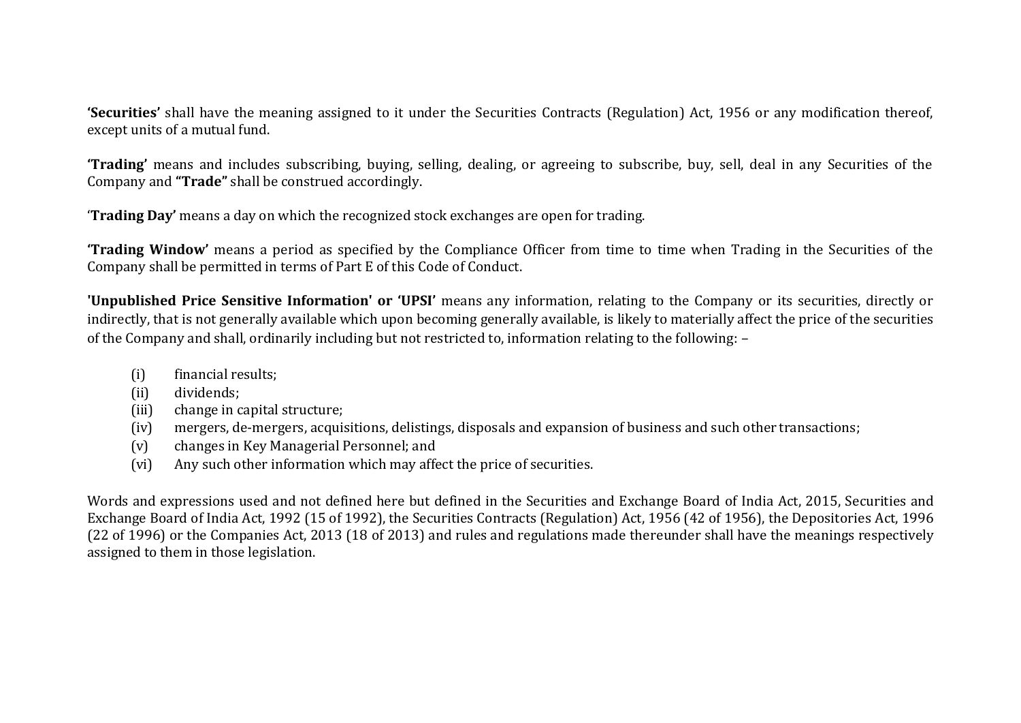**'Securities'** shall have the meaning assigned to it under the Securities Contracts (Regulation) Act, 1956 or any modification thereof, except units of a mutual fund.

**'Trading'** means and includes subscribing, buying, selling, dealing, or agreeing to subscribe, buy, sell, deal in any Securities of the Company and **"Trade"** shall be construed accordingly.

'**Trading Day'** means a day on which the recognized stock exchanges are open for trading.

**'Trading Window'** means a period as specified by the Compliance Officer from time to time when Trading in the Securities of the Company shall be permitted in terms of Part E of this Code of Conduct.

**'Unpublished Price Sensitive Information' or 'UPSI'** means any information, relating to the Company or its securities, directly or indirectly, that is not generally available which upon becoming generally available, is likely to materially affect the price of the securities of the Company and shall, ordinarily including but not restricted to, information relating to the following: –

- (i) financial results;
- (ii) dividends;
- (iii) change in capital structure;
- (iv) mergers, de-mergers, acquisitions, delistings, disposals and expansion of business and such other transactions;
- (v) changes in Key Managerial Personnel; and
- (vi) Any such other information which may affect the price of securities.

Words and expressions used and not defined here but defined in the Securities and Exchange Board of India Act, 2015, Securities and Exchange Board of India Act, 1992 (15 of 1992), the Securities Contracts (Regulation) Act, 1956 (42 of 1956), the Depositories Act, 1996 (22 of 1996) or the Companies Act, 2013 (18 of 2013) and rules and regulations made thereunder shall have the meanings respectively assigned to them in those legislation.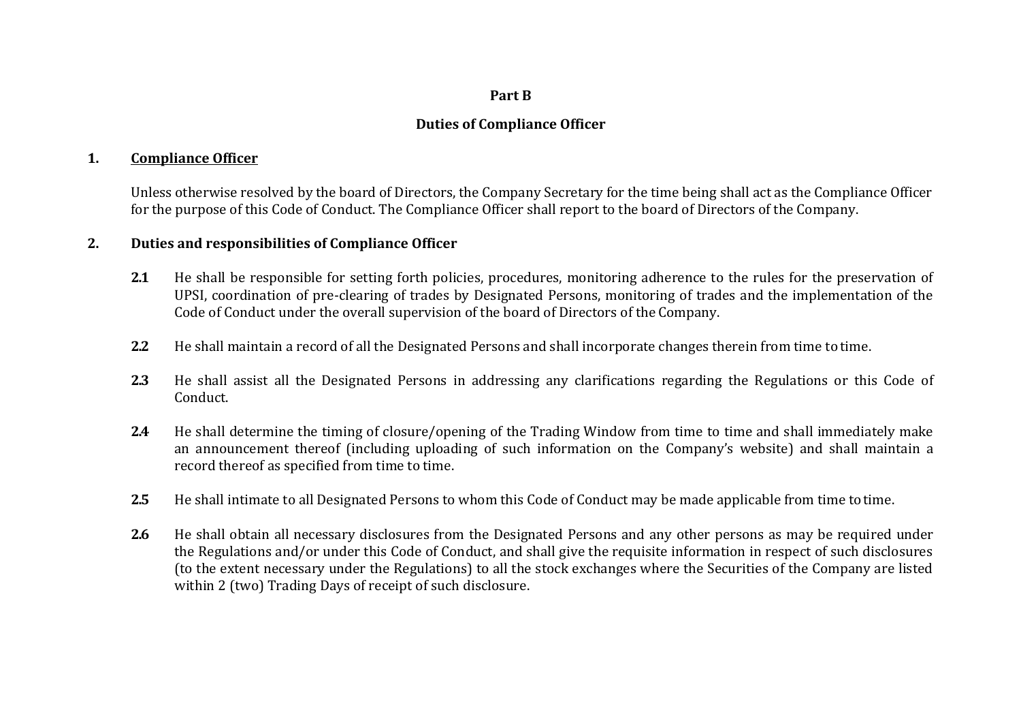#### **Part B**

# **Duties of Compliance Officer**

### **1. Compliance Officer**

Unless otherwise resolved by the board of Directors, the Company Secretary for the time being shall act as the Compliance Officer for the purpose of this Code of Conduct. The Compliance Officer shall report to the board of Directors of the Company.

### **2. Duties and responsibilities of Compliance Officer**

- **2.1** He shall be responsible for setting forth policies, procedures, monitoring adherence to the rules for the preservation of UPSI, coordination of pre-clearing of trades by Designated Persons, monitoring of trades and the implementation of the Code of Conduct under the overall supervision of the board of Directors of the Company.
- **2.2** He shall maintain a record of all the Designated Persons and shall incorporate changes therein from time to time.
- **2.3** He shall assist all the Designated Persons in addressing any clarifications regarding the Regulations or this Code of Conduct.
- **2.4** He shall determine the timing of closure/opening of the Trading Window from time to time and shall immediately make an announcement thereof (including uploading of such information on the Company's website) and shall maintain a record thereof as specified from time to time.
- **2.5** He shall intimate to all Designated Persons to whom this Code of Conduct may be made applicable from time totime.
- **2.6** He shall obtain all necessary disclosures from the Designated Persons and any other persons as may be required under the Regulations and/or under this Code of Conduct, and shall give the requisite information in respect of such disclosures (to the extent necessary under the Regulations) to all the stock exchanges where the Securities of the Company are listed within 2 (two) Trading Days of receipt of such disclosure.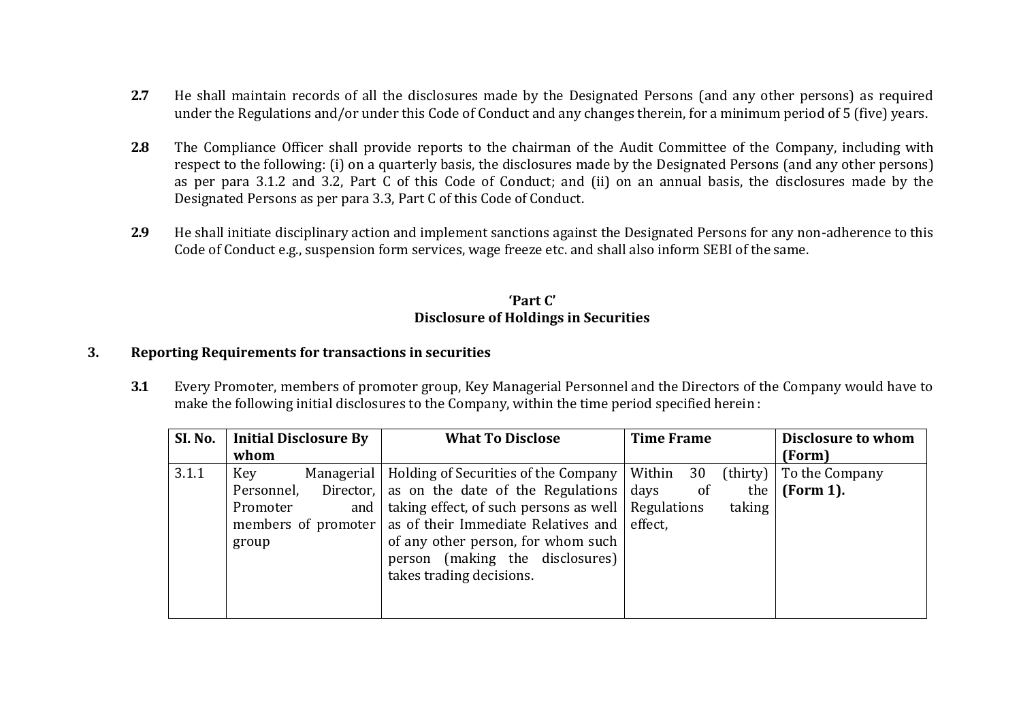- **2.7** He shall maintain records of all the disclosures made by the Designated Persons (and any other persons) as required under the Regulations and/or under this Code of Conduct and any changes therein, for a minimum period of 5 (five) years.
- **2.8** The Compliance Officer shall provide reports to the chairman of the Audit Committee of the Company, including with respect to the following: (i) on a quarterly basis, the disclosures made by the Designated Persons (and any other persons) as per para 3.1.2 and 3.2, Part C of this Code of Conduct; and (ii) on an annual basis, the disclosures made by the Designated Persons as per para 3.3, Part C of this Code of Conduct.
- **2.9** He shall initiate disciplinary action and implement sanctions against the Designated Persons for any non-adherence to this Code of Conduct e.g., suspension form services, wage freeze etc. and shall also inform SEBI of the same.

# **'Part C' Disclosure of Holdings in Securities**

# **3. Reporting Requirements for transactions in securities**

**3.1** Every Promoter, members of promoter group, Key Managerial Personnel and the Directors of the Company would have to make the following initial disclosures to the Company, within the time period specified herein :

| SI. No. | <b>Initial Disclosure By</b>             | <b>What To Disclose</b>                                         | <b>Time Frame</b> | Disclosure to whom               |
|---------|------------------------------------------|-----------------------------------------------------------------|-------------------|----------------------------------|
|         | whom                                     |                                                                 |                   | (Form)                           |
| 3.1.1   | Managerial<br><b>Key</b>                 | Holding of Securities of the Company                            | Within<br>30      | $\text{thirty}$   To the Company |
|         | Personnel,                               | Director, $\vert$ as on the date of the Regulations $\vert$     | days<br>of<br>the | (Form 1).                        |
|         | and $\overline{\phantom{a}}$<br>Promoter | taking effect, of such persons as well   Regulations            | taking            |                                  |
|         |                                          | members of promoter as of their Immediate Relatives and effect, |                   |                                  |
|         | group                                    | of any other person, for whom such                              |                   |                                  |
|         |                                          | person (making the disclosures)                                 |                   |                                  |
|         |                                          | takes trading decisions.                                        |                   |                                  |
|         |                                          |                                                                 |                   |                                  |
|         |                                          |                                                                 |                   |                                  |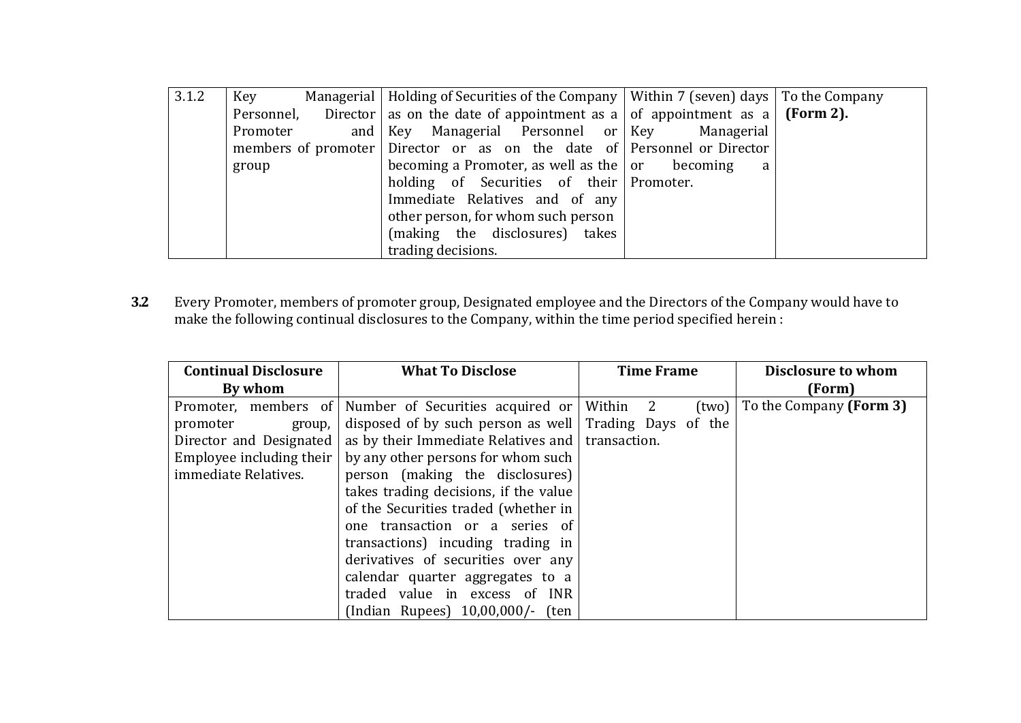| 3.1.2 | Key      | Managerial   Holding of Securities of the Company   Within 7 (seven) days   To the Company      |              |  |
|-------|----------|-------------------------------------------------------------------------------------------------|--------------|--|
|       |          | Personnel, Director as on the date of appointment as a   of appointment as a   <b>(Form 2).</b> |              |  |
|       | Promoter | and Key Managerial Personnel or Key Managerial                                                  |              |  |
|       |          | members of promoter Director or as on the date of Personnel or Director                         |              |  |
|       | group    | becoming a Promoter, as well as the $ $ or becoming                                             | <sub>a</sub> |  |
|       |          | holding of Securities of their Promoter.                                                        |              |  |
|       |          | Immediate Relatives and of any                                                                  |              |  |
|       |          | other person, for whom such person                                                              |              |  |
|       |          | (making the disclosures) takes                                                                  |              |  |
|       |          | trading decisions.                                                                              |              |  |

**3.2** Every Promoter, members of promoter group, Designated employee and the Directors of the Company would have to make the following continual disclosures to the Company, within the time period specified herein :

| <b>Continual Disclosure</b> | <b>What To Disclose</b>                                  | <b>Time Frame</b> | Disclosure to whom      |
|-----------------------------|----------------------------------------------------------|-------------------|-------------------------|
| By whom                     |                                                          |                   | (Form)                  |
| Promoter, members of        | Number of Securities acquired or Within 2                | (two)             | To the Company (Form 3) |
| promoter<br>group,          | disposed of by such person as well   Trading Days of the |                   |                         |
| Director and Designated     | as by their Immediate Relatives and   transaction.       |                   |                         |
| Employee including their    | by any other persons for whom such                       |                   |                         |
| immediate Relatives.        | person (making the disclosures)                          |                   |                         |
|                             | takes trading decisions, if the value                    |                   |                         |
|                             | of the Securities traded (whether in                     |                   |                         |
|                             | one transaction or a series of                           |                   |                         |
|                             | transactions) incuding trading in                        |                   |                         |
|                             | derivatives of securities over any                       |                   |                         |
|                             | calendar quarter aggregates to a                         |                   |                         |
|                             | traded value in excess of INR                            |                   |                         |
|                             | (Indian Rupees) 10,00,000/- (ten                         |                   |                         |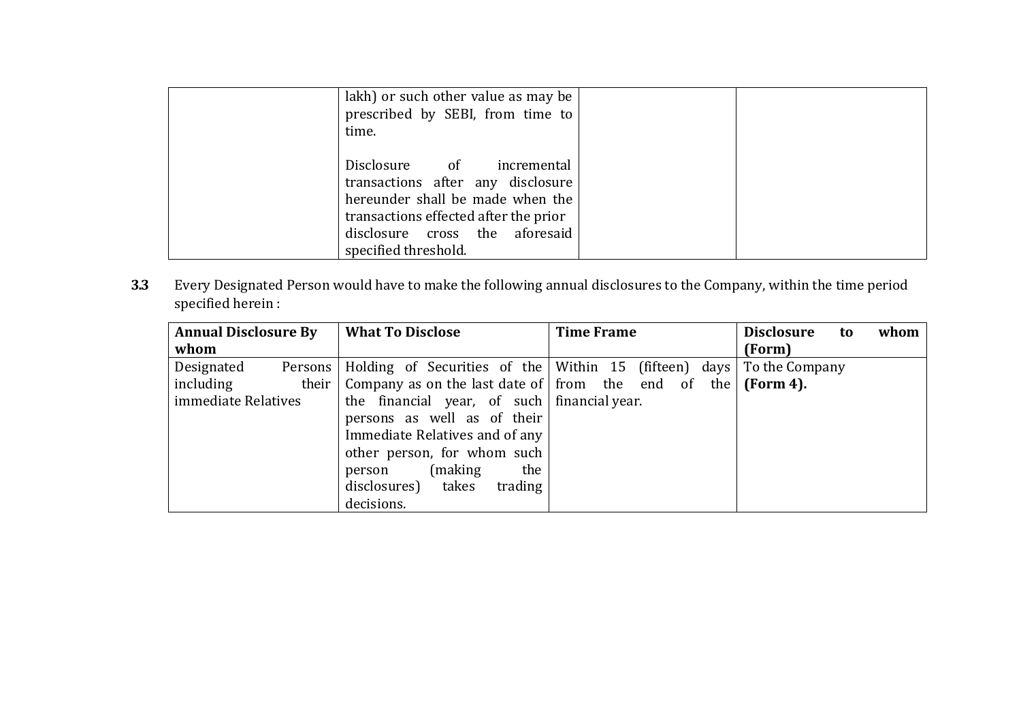| lakh) or such other value as may be<br>prescribed by SEBI, from time to<br>time.                                                                                                                      |  |
|-------------------------------------------------------------------------------------------------------------------------------------------------------------------------------------------------------|--|
| Disclosure of incremental<br>transactions after any disclosure<br>hereunder shall be made when the<br>transactions effected after the prior<br>disclosure cross the aforesaid<br>specified threshold. |  |

**3.3** Every Designated Person would have to make the following annual disclosures to the Company, within the time period specified herein :

| <b>Annual Disclosure By</b> |         | <b>What To Disclose</b>                                                              | <b>Time Frame</b> | <b>Disclosure</b><br>whom<br>to |
|-----------------------------|---------|--------------------------------------------------------------------------------------|-------------------|---------------------------------|
| whom                        |         |                                                                                      |                   | (Form)                          |
| Designated                  | Persons | Holding of Securities of the Within 15 (fifteen) days                                |                   | To the Company                  |
| including                   |         | their   Company as on the last date of $\vert$ from the end of the $\vert$ (Form 4). |                   |                                 |
| immediate Relatives         |         | the financial year, of such financial year.                                          |                   |                                 |
|                             |         | persons as well as of their                                                          |                   |                                 |
|                             |         | Immediate Relatives and of any                                                       |                   |                                 |
|                             |         | other person, for whom such                                                          |                   |                                 |
|                             |         | (making)<br>the<br>person                                                            |                   |                                 |
|                             |         | disclosures) takes<br>trading                                                        |                   |                                 |
|                             |         | decisions.                                                                           |                   |                                 |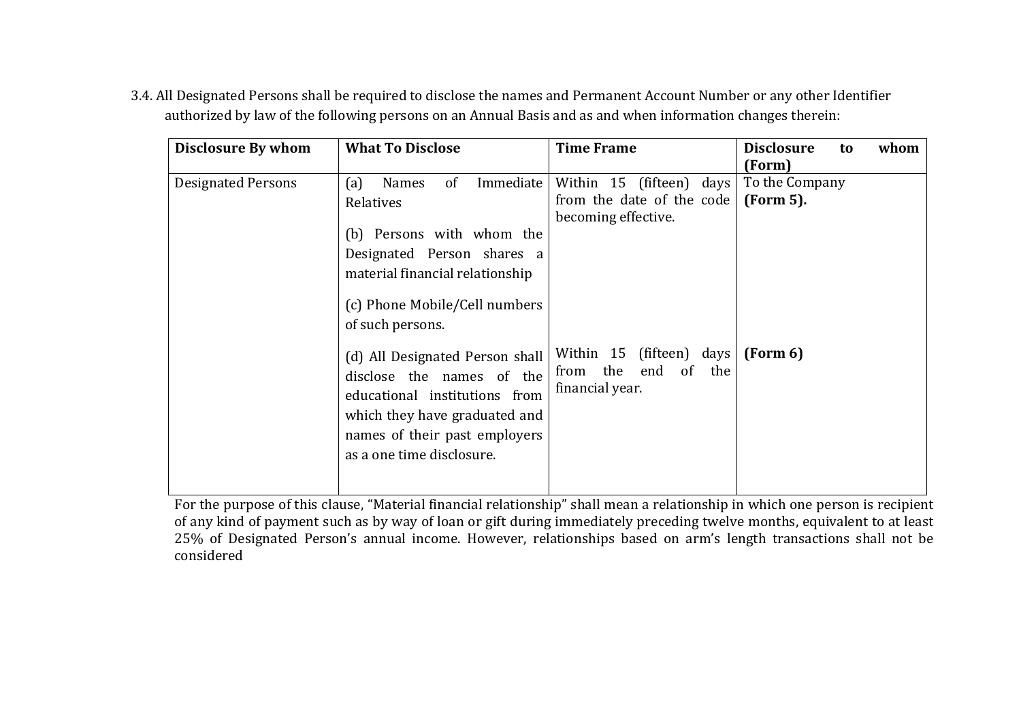| <b>Disclosure By whom</b> | <b>What To Disclose</b>                                                                                                                                                                                | <b>Time Frame</b>                                                            | <b>Disclosure</b><br>whom<br>to<br>(Form) |
|---------------------------|--------------------------------------------------------------------------------------------------------------------------------------------------------------------------------------------------------|------------------------------------------------------------------------------|-------------------------------------------|
| <b>Designated Persons</b> | Immediate<br>(a)<br>of<br><b>Names</b><br>Relatives<br>(b) Persons with whom the<br>Designated Person shares a<br>material financial relationship<br>(c) Phone Mobile/Cell numbers<br>of such persons. | Within 15 (fifteen) days<br>from the date of the code<br>becoming effective. | To the Company<br>(Form 5).               |
|                           | (d) All Designated Person shall<br>disclose the names of the<br>educational institutions from<br>which they have graduated and<br>names of their past employers<br>as a one time disclosure.           | Within 15 (fifteen) days<br>end of the<br>from the<br>financial year.        | (Form 6)                                  |

3.4. All Designated Persons shall be required to disclose the names and Permanent Account Number or any other Identifier authorized by law of the following persons on an Annual Basis and as and when information changes therein:

For the purpose of this clause, "Material financial relationship" shall mean a relationship in which one person is recipient of any kind of payment such as by way of loan or gift during immediately preceding twelve months, equivalent to at least 25% of Designated Person's annual income. However, relationships based on arm's length transactions shall not be considered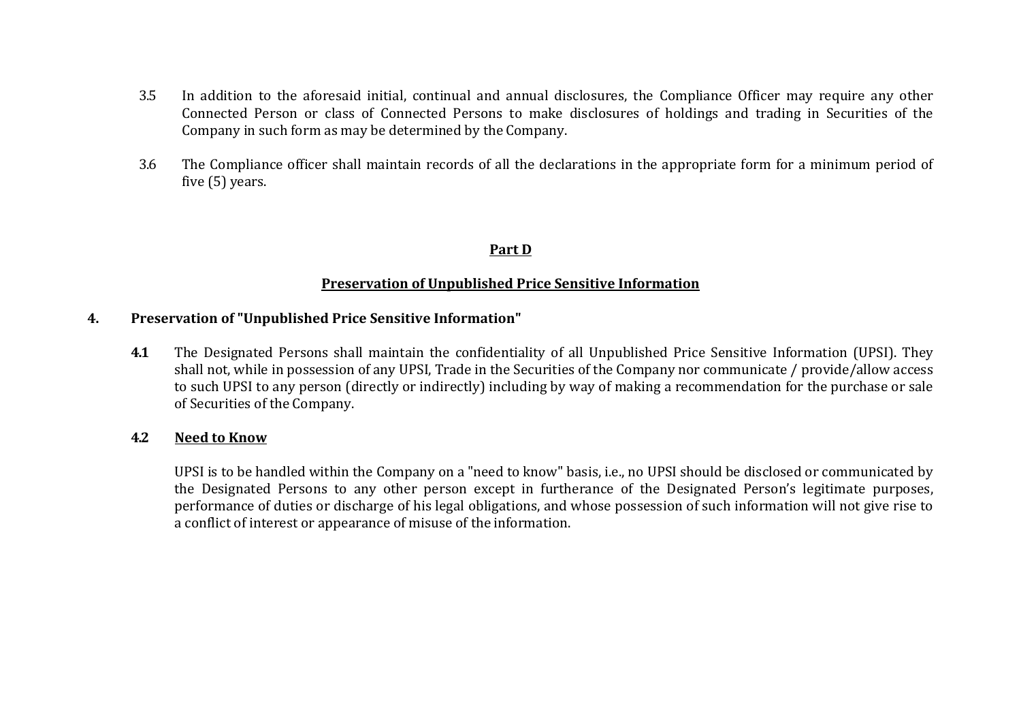- 3.5 In addition to the aforesaid initial, continual and annual disclosures, the Compliance Officer may require any other Connected Person or class of Connected Persons to make disclosures of holdings and trading in Securities of the Company in such form as may be determined by the Company.
- 3.6 The Compliance officer shall maintain records of all the declarations in the appropriate form for a minimum period of five (5) years.

### **Part D**

#### **Preservation of Unpublished Price Sensitive Information**

#### **4. Preservation of "Unpublished Price Sensitive Information"**

**4.1** The Designated Persons shall maintain the confidentiality of all Unpublished Price Sensitive Information (UPSI). They shall not, while in possession of any UPSI, Trade in the Securities of the Company nor communicate / provide/allow access to such UPSI to any person (directly or indirectly) including by way of making a recommendation for the purchase or sale of Securities of the Company.

#### **4.2 Need to Know**

UPSI is to be handled within the Company on a "need to know" basis, i.e., no UPSI should be disclosed or communicated by the Designated Persons to any other person except in furtherance of the Designated Person's legitimate purposes, performance of duties or discharge of his legal obligations, and whose possession of such information will not give rise to a conflict of interest or appearance of misuse of the information.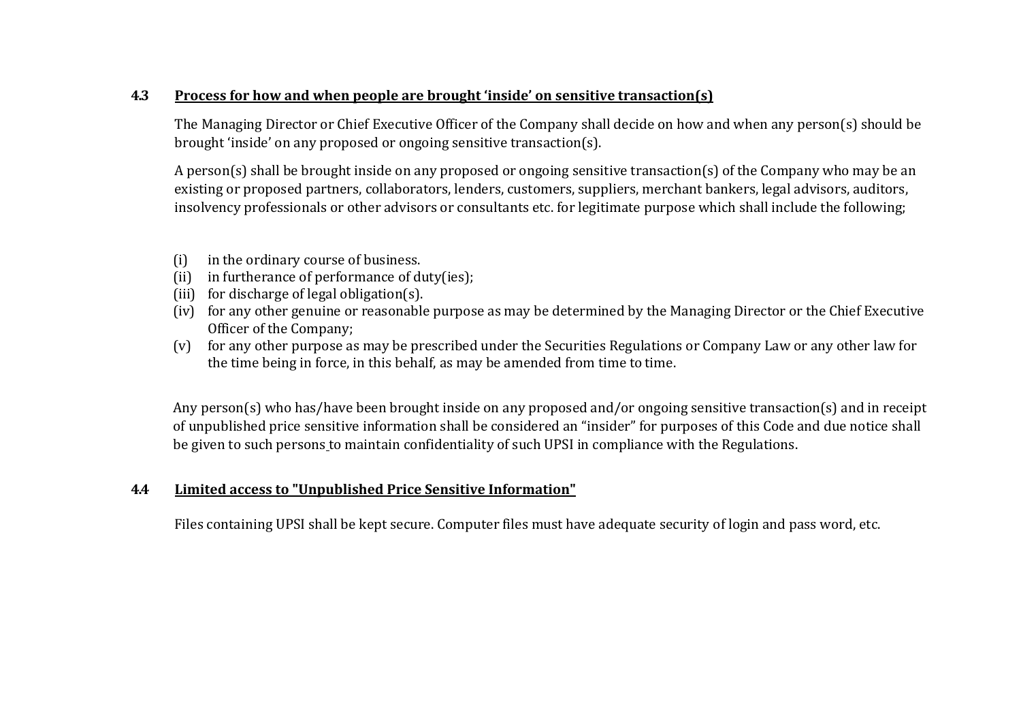# **4.3 Process for how and when people are brought 'inside' on sensitive transaction(s)**

The Managing Director or Chief Executive Officer of the Company shall decide on how and when any person(s) should be brought 'inside' on any proposed or ongoing sensitive transaction(s).

A person(s) shall be brought inside on any proposed or ongoing sensitive transaction(s) of the Company who may be an existing or proposed partners, collaborators, lenders, customers, suppliers, merchant bankers, legal advisors, auditors, insolvency professionals or other advisors or consultants etc. for legitimate purpose which shall include the following;

- (i) in the ordinary course of business.
- (ii) in furtherance of performance of duty(ies);
- (iii) for discharge of legal obligation(s).
- (iv) for any other genuine or reasonable purpose as may be determined by the Managing Director or the Chief Executive Officer of the Company;
- (v) for any other purpose as may be prescribed under the Securities Regulations or Company Law or any other law for the time being in force, in this behalf, as may be amended from time to time.

Any person(s) who has/have been brought inside on any proposed and/or ongoing sensitive transaction(s) and in receipt of unpublished price sensitive information shall be considered an "insider" for purposes of this Code and due notice shall be given to such persons to maintain confidentiality of such UPSI in compliance with the Regulations.

# **4.4 Limited access to "Unpublished Price Sensitive Information"**

Files containing UPSI shall be kept secure. Computer files must have adequate security of login and pass word, etc.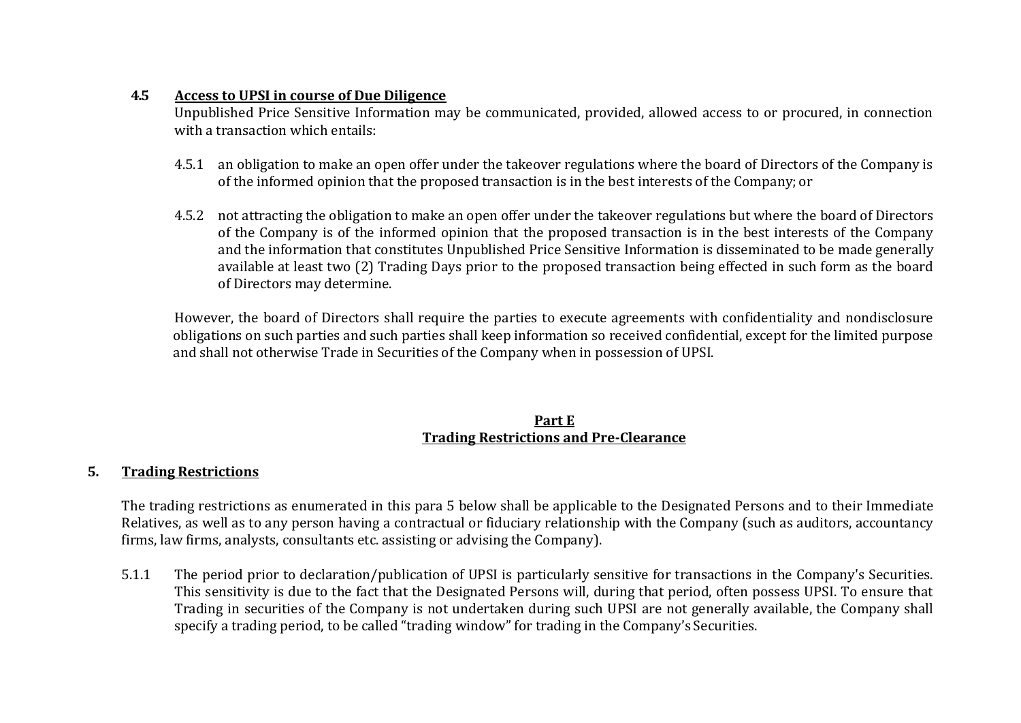# **4.5 Access to UPSI in course of Due Diligence**

Unpublished Price Sensitive Information may be communicated, provided, allowed access to or procured, in connection with a transaction which entails:

- 4.5.1 an obligation to make an open offer under the takeover regulations where the board of Directors of the Company is of the informed opinion that the proposed transaction is in the best interests of the Company; or
- 4.5.2 not attracting the obligation to make an open offer under the takeover regulations but where the board of Directors of the Company is of the informed opinion that the proposed transaction is in the best interests of the Company and the information that constitutes Unpublished Price Sensitive Information is disseminated to be made generally available at least two (2) Trading Days prior to the proposed transaction being effected in such form as the board of Directors may determine.

However, the board of Directors shall require the parties to execute agreements with confidentiality and nondisclosure obligations on such parties and such parties shall keep information so received confidential, except for the limited purpose and shall not otherwise Trade in Securities of the Company when in possession of UPSI.

# **Part E Trading Restrictions and Pre-Clearance**

# **5. Trading Restrictions**

The trading restrictions as enumerated in this para 5 below shall be applicable to the Designated Persons and to their Immediate Relatives, as well as to any person having a contractual or fiduciary relationship with the Company (such as auditors, accountancy firms, law firms, analysts, consultants etc. assisting or advising the Company).

5.1.1 The period prior to declaration/publication of UPSI is particularly sensitive for transactions in the Company's Securities. This sensitivity is due to the fact that the Designated Persons will, during that period, often possess UPSI. To ensure that Trading in securities of the Company is not undertaken during such UPSI are not generally available, the Company shall specify a trading period, to be called "trading window" for trading in the Company's Securities.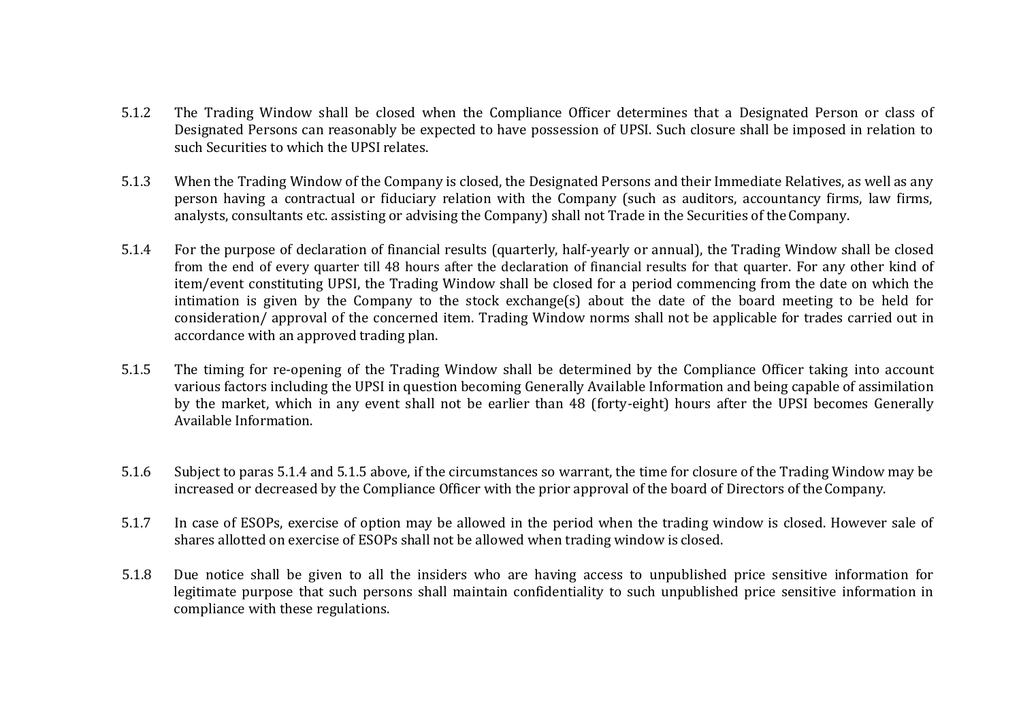- 5.1.2 The Trading Window shall be closed when the Compliance Officer determines that a Designated Person or class of Designated Persons can reasonably be expected to have possession of UPSI. Such closure shall be imposed in relation to such Securities to which the UPSI relates.
- 5.1.3 When the Trading Window of the Company is closed, the Designated Persons and their Immediate Relatives, as well as any person having a contractual or fiduciary relation with the Company (such as auditors, accountancy firms, law firms, analysts, consultants etc. assisting or advising the Company) shall not Trade in the Securities of theCompany.
- 5.1.4 For the purpose of declaration of financial results (quarterly, half-yearly or annual), the Trading Window shall be closed from the end of every quarter till 48 hours after the declaration of financial results for that quarter. For any other kind of item/event constituting UPSI, the Trading Window shall be closed for a period commencing from the date on which the intimation is given by the Company to the stock exchange(s) about the date of the board meeting to be held for consideration/ approval of the concerned item. Trading Window norms shall not be applicable for trades carried out in accordance with an approved trading plan.
- 5.1.5 The timing for re-opening of the Trading Window shall be determined by the Compliance Officer taking into account various factors including the UPSI in question becoming Generally Available Information and being capable of assimilation by the market, which in any event shall not be earlier than 48 (forty-eight) hours after the UPSI becomes Generally Available Information.
- 5.1.6 Subject to paras 5.1.4 and 5.1.5 above, if the circumstances so warrant, the time for closure of the Trading Window may be increased or decreased by the Compliance Officer with the prior approval of the board of Directors of theCompany.
- 5.1.7 In case of ESOPs, exercise of option may be allowed in the period when the trading window is closed. However sale of shares allotted on exercise of ESOPs shall not be allowed when trading window is closed.
- 5.1.8 Due notice shall be given to all the insiders who are having access to unpublished price sensitive information for legitimate purpose that such persons shall maintain confidentiality to such unpublished price sensitive information in compliance with these regulations.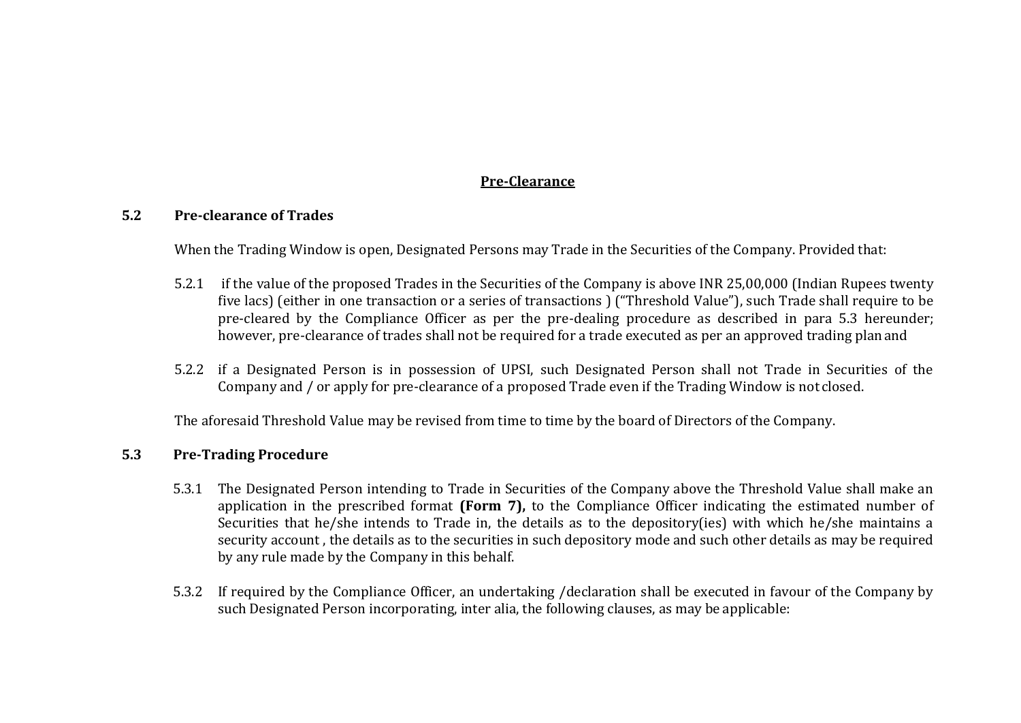# **Pre-Clearance**

### **5.2 Pre-clearance of Trades**

When the Trading Window is open, Designated Persons may Trade in the Securities of the Company. Provided that:

- 5.2.1 if the value of the proposed Trades in the Securities of the Company is above INR 25,00,000 (Indian Rupees twenty five lacs) (either in one transaction or a series of transactions ) ("Threshold Value"), such Trade shall require to be pre-cleared by the Compliance Officer as per the pre-dealing procedure as described in para 5.3 hereunder; however, pre-clearance of trades shall not be required for a trade executed as per an approved trading planand
- 5.2.2 if a Designated Person is in possession of UPSI, such Designated Person shall not Trade in Securities of the Company and / or apply for pre-clearance of a proposed Trade even if the Trading Window is not closed.

The aforesaid Threshold Value may be revised from time to time by the board of Directors of the Company.

# **5.3 Pre-Trading Procedure**

- 5.3.1 The Designated Person intending to Trade in Securities of the Company above the Threshold Value shall make an application in the prescribed format **(Form 7),** to the Compliance Officer indicating the estimated number of Securities that he/she intends to Trade in, the details as to the depository(ies) with which he/she maintains a security account , the details as to the securities in such depository mode and such other details as may be required by any rule made by the Company in this behalf.
- 5.3.2 If required by the Compliance Officer, an undertaking /declaration shall be executed in favour of the Company by such Designated Person incorporating, inter alia, the following clauses, as may be applicable: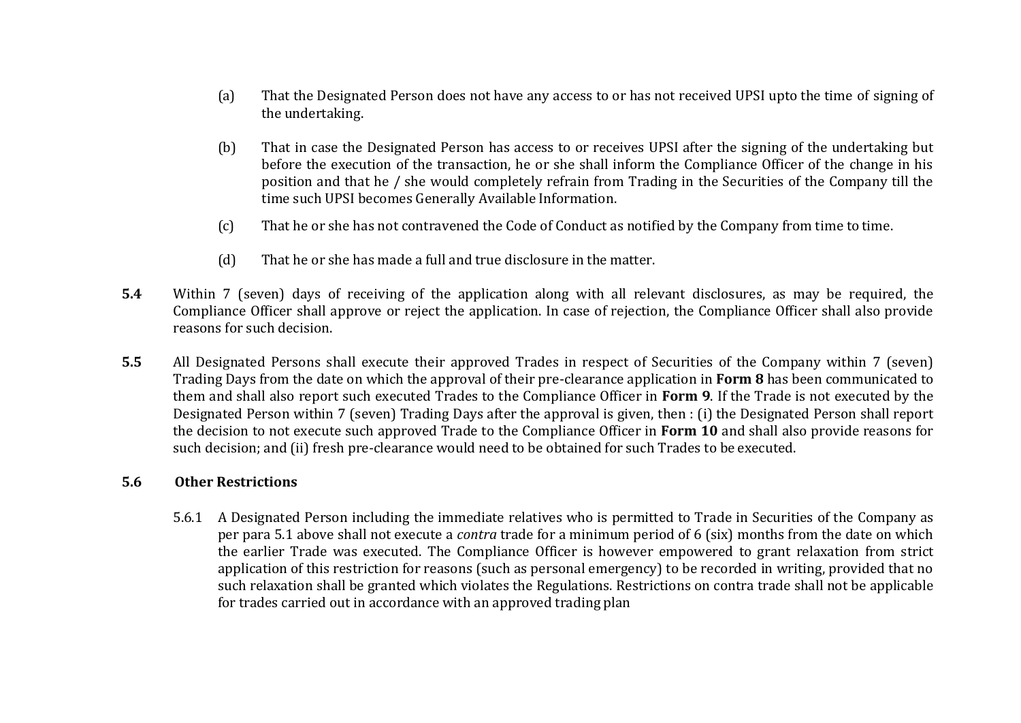- (a) That the Designated Person does not have any access to or has not received UPSI upto the time of signing of the undertaking.
- (b) That in case the Designated Person has access to or receives UPSI after the signing of the undertaking but before the execution of the transaction, he or she shall inform the Compliance Officer of the change in his position and that he / she would completely refrain from Trading in the Securities of the Company till the time such UPSI becomes Generally Available Information.
- (c) That he or she has not contravened the Code of Conduct as notified by the Company from time to time.
- (d) That he or she has made a full and true disclosure in the matter.
- **5.4** Within 7 (seven) days of receiving of the application along with all relevant disclosures, as may be required, the Compliance Officer shall approve or reject the application. In case of rejection, the Compliance Officer shall also provide reasons for such decision.
- **5.5** All Designated Persons shall execute their approved Trades in respect of Securities of the Company within 7 (seven) Trading Days from the date on which the approval of their pre-clearance application in **Form 8** has been communicated to them and shall also report such executed Trades to the Compliance Officer in **Form 9**. If the Trade is not executed by the Designated Person within 7 (seven) Trading Days after the approval is given, then : (i) the Designated Person shall report the decision to not execute such approved Trade to the Compliance Officer in **Form 10** and shall also provide reasons for such decision; and (ii) fresh pre-clearance would need to be obtained for such Trades to be executed.

# **5.6 Other Restrictions**

5.6.1 A Designated Person including the immediate relatives who is permitted to Trade in Securities of the Company as per para 5.1 above shall not execute a *contra* trade for a minimum period of 6 (six) months from the date on which the earlier Trade was executed. The Compliance Officer is however empowered to grant relaxation from strict application of this restriction for reasons (such as personal emergency) to be recorded in writing, provided that no such relaxation shall be granted which violates the Regulations. Restrictions on contra trade shall not be applicable for trades carried out in accordance with an approved trading plan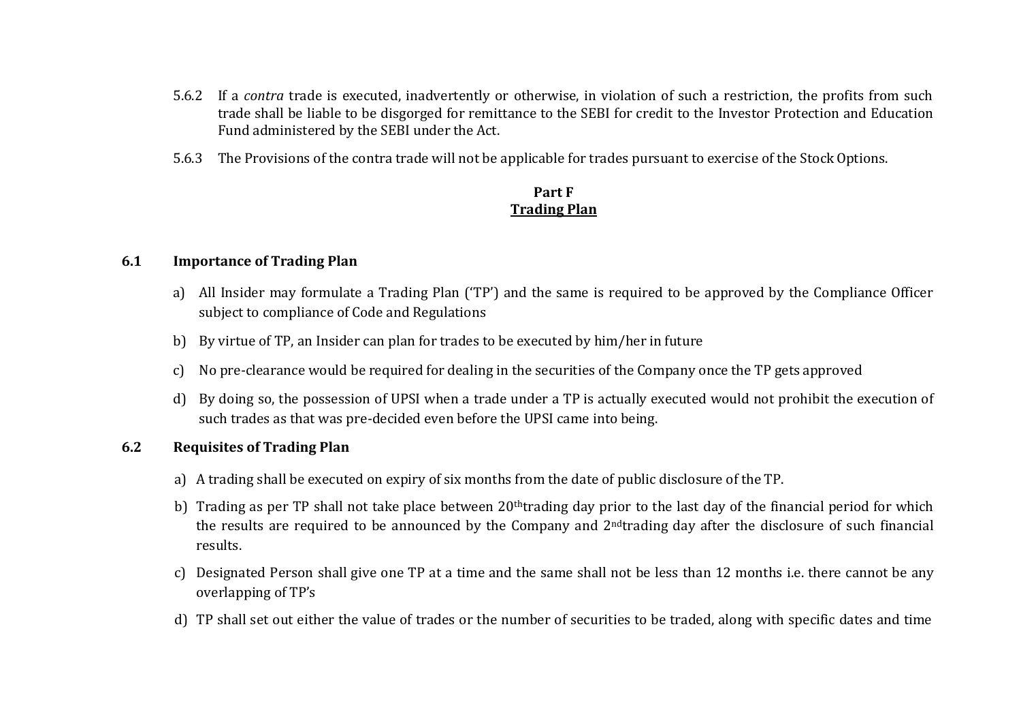- 5.6.2 If a *contra* trade is executed, inadvertently or otherwise, in violation of such a restriction, the profits from such trade shall be liable to be disgorged for remittance to the SEBI for credit to the Investor Protection and Education Fund administered by the SEBI under the Act.
- 5.6.3 The Provisions of the contra trade will not be applicable for trades pursuant to exercise of the Stock Options.

# **Part F Trading Plan**

# **6.1 Importance of Trading Plan**

- a) All Insider may formulate a Trading Plan ('TP') and the same is required to be approved by the Compliance Officer subject to compliance of Code and Regulations
- b) By virtue of TP, an Insider can plan for trades to be executed by him/her in future
- c) No pre-clearance would be required for dealing in the securities of the Company once the TP gets approved
- d) By doing so, the possession of UPSI when a trade under a TP is actually executed would not prohibit the execution of such trades as that was pre-decided even before the UPSI came into being.

# **6.2 Requisites of Trading Plan**

- a) A trading shall be executed on expiry of six months from the date of public disclosure of the TP.
- b) Trading as per TP shall not take place between 20<sup>th</sup>trading day prior to the last day of the financial period for which the results are required to be announced by the Company and 2ndtrading day after the disclosure of such financial results.
- c) Designated Person shall give one TP at a time and the same shall not be less than 12 months i.e. there cannot be any overlapping of TP's
- d) TP shall set out either the value of trades or the number of securities to be traded, along with specific dates and time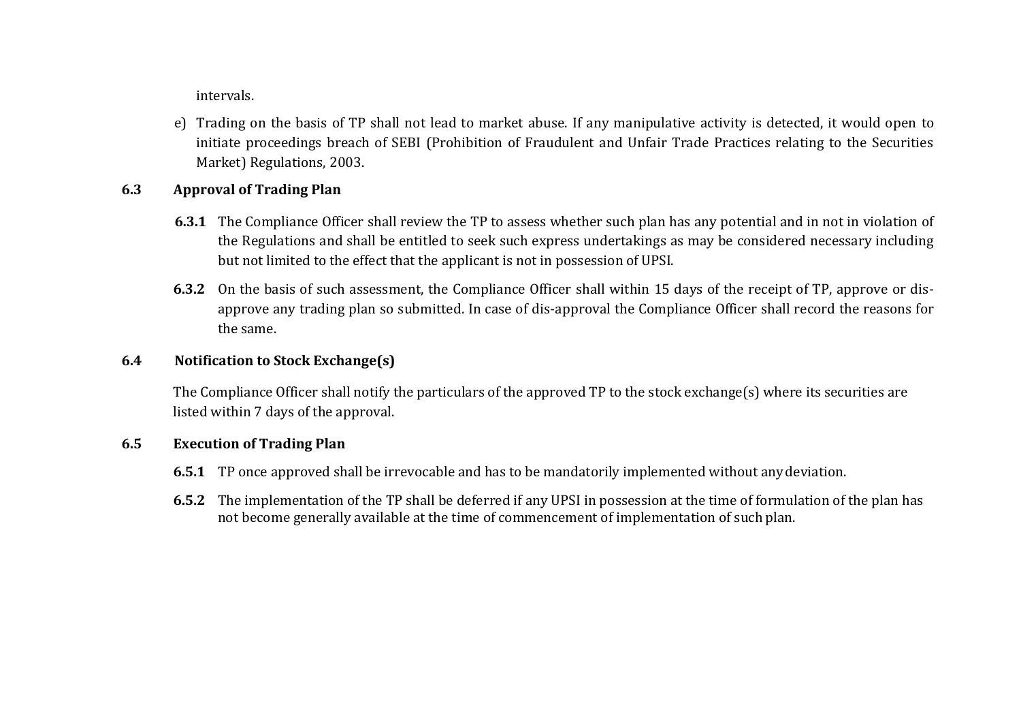intervals.

e) Trading on the basis of TP shall not lead to market abuse. If any manipulative activity is detected, it would open to initiate proceedings breach of SEBI (Prohibition of Fraudulent and Unfair Trade Practices relating to the Securities Market) Regulations, 2003.

# **6.3 Approval of Trading Plan**

- **6.3.1** The Compliance Officer shall review the TP to assess whether such plan has any potential and in not in violation of the Regulations and shall be entitled to seek such express undertakings as may be considered necessary including but not limited to the effect that the applicant is not in possession of UPSI.
- **6.3.2** On the basis of such assessment, the Compliance Officer shall within 15 days of the receipt of TP, approve or disapprove any trading plan so submitted. In case of dis-approval the Compliance Officer shall record the reasons for the same.

# **6.4 Notification to Stock Exchange(s)**

The Compliance Officer shall notify the particulars of the approved TP to the stock exchange(s) where its securities are listed within 7 days of the approval.

# **6.5 Execution of Trading Plan**

- **6.5.1** TP once approved shall be irrevocable and has to be mandatorily implemented without anydeviation.
- **6.5.2** The implementation of the TP shall be deferred if any UPSI in possession at the time of formulation of the plan has not become generally available at the time of commencement of implementation of such plan.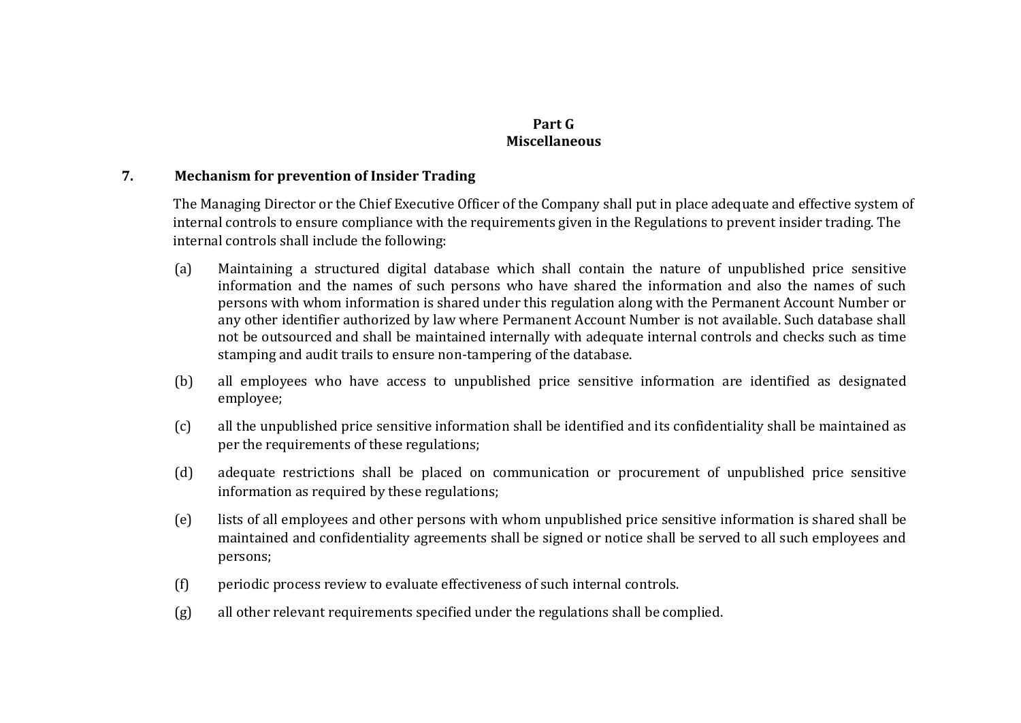# **Part G Miscellaneous**

# **7. Mechanism for prevention of Insider Trading**

The Managing Director or the Chief Executive Officer of the Company shall put in place adequate and effective system of internal controls to ensure compliance with the requirements given in the Regulations to prevent insider trading. The internal controls shall include the following:

- (a) Maintaining a structured digital database which shall contain the nature of unpublished price sensitive information and the names of such persons who have shared the information and also the names of such persons with whom information is shared under this regulation along with the Permanent Account Number or any other identifier authorized by law where Permanent Account Number is not available. Such database shall not be outsourced and shall be maintained internally with adequate internal controls and checks such as time stamping and audit trails to ensure non-tampering of the database.
- (b) all employees who have access to unpublished price sensitive information are identified as designated employee;
- (c) all the unpublished price sensitive information shall be identified and its confidentiality shall be maintained as per the requirements of these regulations;
- (d) adequate restrictions shall be placed on communication or procurement of unpublished price sensitive information as required by these regulations;
- (e) lists of all employees and other persons with whom unpublished price sensitive information is shared shall be maintained and confidentiality agreements shall be signed or notice shall be served to all such employees and persons;
- (f) periodic process review to evaluate effectiveness of such internal controls.
- (g) all other relevant requirements specified under the regulations shall be complied.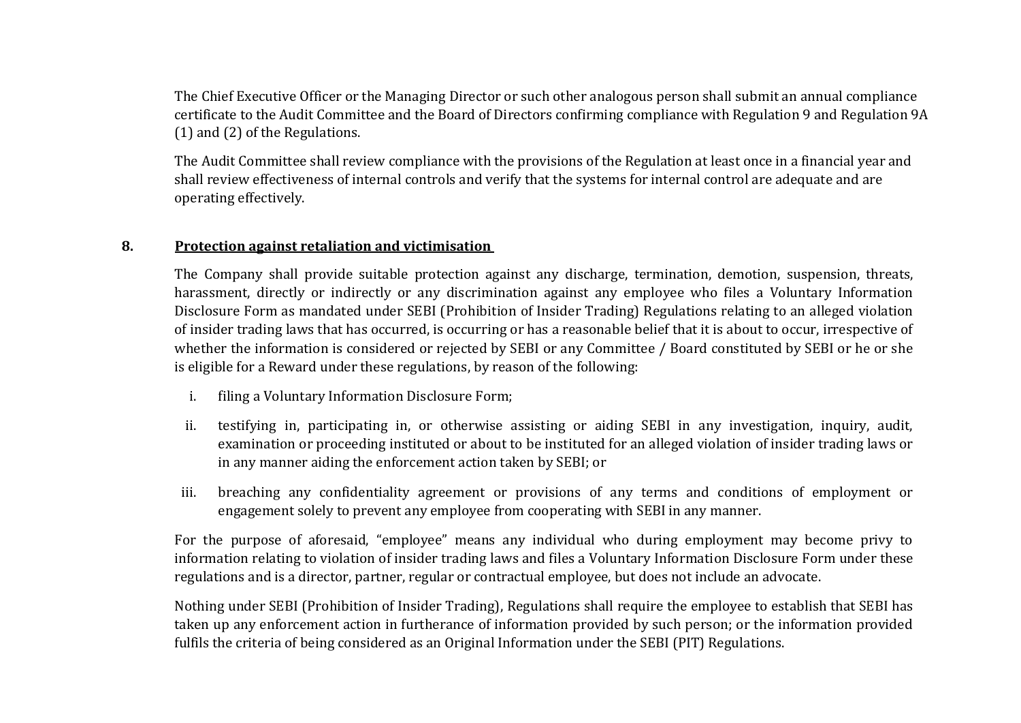The Chief Executive Officer or the Managing Director or such other analogous person shall submit an annual compliance certificate to the Audit Committee and the Board of Directors confirming compliance with Regulation 9 and Regulation 9A (1) and (2) of the Regulations.

The Audit Committee shall review compliance with the provisions of the Regulation at least once in a financial year and shall review effectiveness of internal controls and verify that the systems for internal control are adequate and are operating effectively.

# **8. Protection against retaliation and victimisation**

The Company shall provide suitable protection against any discharge, termination, demotion, suspension, threats, harassment, directly or indirectly or any discrimination against any employee who files a Voluntary Information Disclosure Form as mandated under SEBI (Prohibition of Insider Trading) Regulations relating to an alleged violation of insider trading laws that has occurred, is occurring or has a reasonable belief that it is about to occur, irrespective of whether the information is considered or rejected by SEBI or any Committee / Board constituted by SEBI or he or she is eligible for a Reward under these regulations, by reason of the following:

- i. filing a Voluntary Information Disclosure Form;
- ii. testifying in, participating in, or otherwise assisting or aiding SEBI in any investigation, inquiry, audit, examination or proceeding instituted or about to be instituted for an alleged violation of insider trading laws or in any manner aiding the enforcement action taken by SEBI; or
- iii. breaching any confidentiality agreement or provisions of any terms and conditions of employment or engagement solely to prevent any employee from cooperating with SEBI in any manner.

For the purpose of aforesaid, "employee" means any individual who during employment may become privy to information relating to violation of insider trading laws and files a Voluntary Information Disclosure Form under these regulations and is a director, partner, regular or contractual employee, but does not include an advocate.

Nothing under SEBI (Prohibition of Insider Trading), Regulations shall require the employee to establish that SEBI has taken up any enforcement action in furtherance of information provided by such person; or the information provided fulfils the criteria of being considered as an Original Information under the SEBI (PIT) Regulations.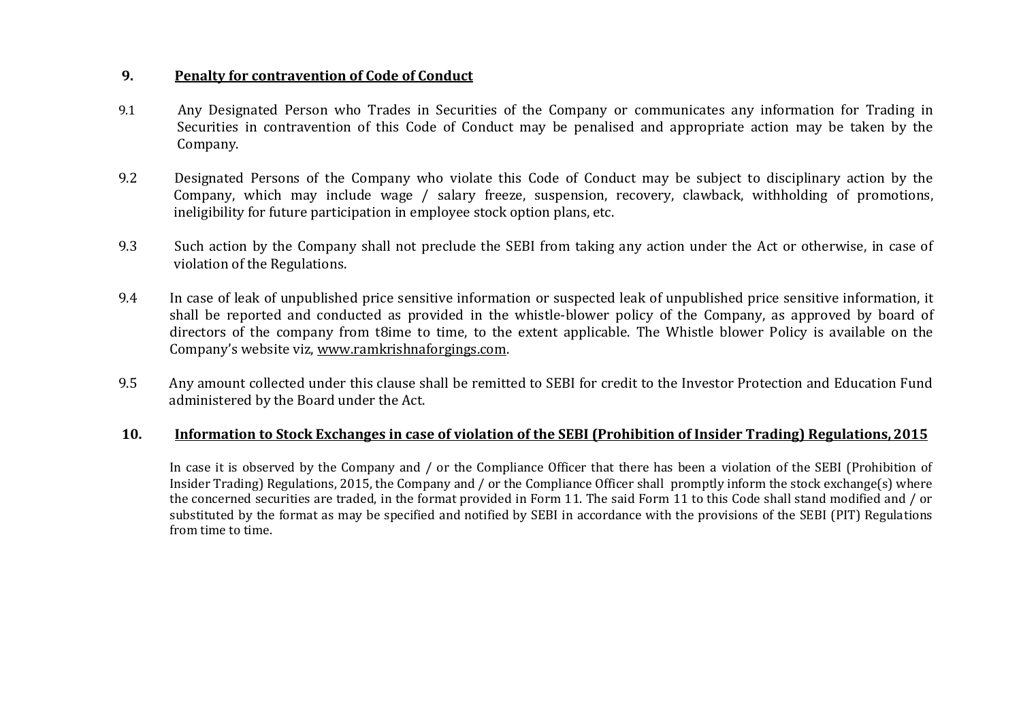### **9. Penalty for contravention of Code of Conduct**

- 9.1 Any Designated Person who Trades in Securities of the Company or communicates any information for Trading in Securities in contravention of this Code of Conduct may be penalised and appropriate action may be taken by the Company.
- 9.2 Designated Persons of the Company who violate this Code of Conduct may be subject to disciplinary action by the Company, which may include wage / salary freeze, suspension, recovery, clawback, withholding of promotions, ineligibility for future participation in employee stock option plans, etc.
- 9.3 Such action by the Company shall not preclude the SEBI from taking any action under the Act or otherwise, in case of violation of the Regulations.
- 9.4 In case of leak of unpublished price sensitive information or suspected leak of unpublished price sensitive information, it shall be reported and conducted as provided in the whistle-blower policy of the Company, as approved by board of directors of the company from t8ime to time, to the extent applicable. The Whistle blower Policy is available on the Company's website viz, [www.ramkrishnaforgings.com.](http://www.ramkrishnaforgings.com/)
- 9.5 Any amount collected under this clause shall be remitted to SEBI for credit to the Investor Protection and Education Fund administered by the Board under the Act.

### **10. Information to Stock Exchanges in case of violation of the SEBI (Prohibition of Insider Trading) Regulations, 2015**

In case it is observed by the Company and / or the Compliance Officer that there has been a violation of the SEBI (Prohibition of Insider Trading) Regulations, 2015, the Company and / or the Compliance Officer shall promptly inform the stock exchange(s) where the concerned securities are traded, in the format provided in Form 11. The said Form 11 to this Code shall stand modified and / or substituted by the format as may be specified and notified by SEBI in accordance with the provisions of the SEBI (PIT) Regulations from time to time.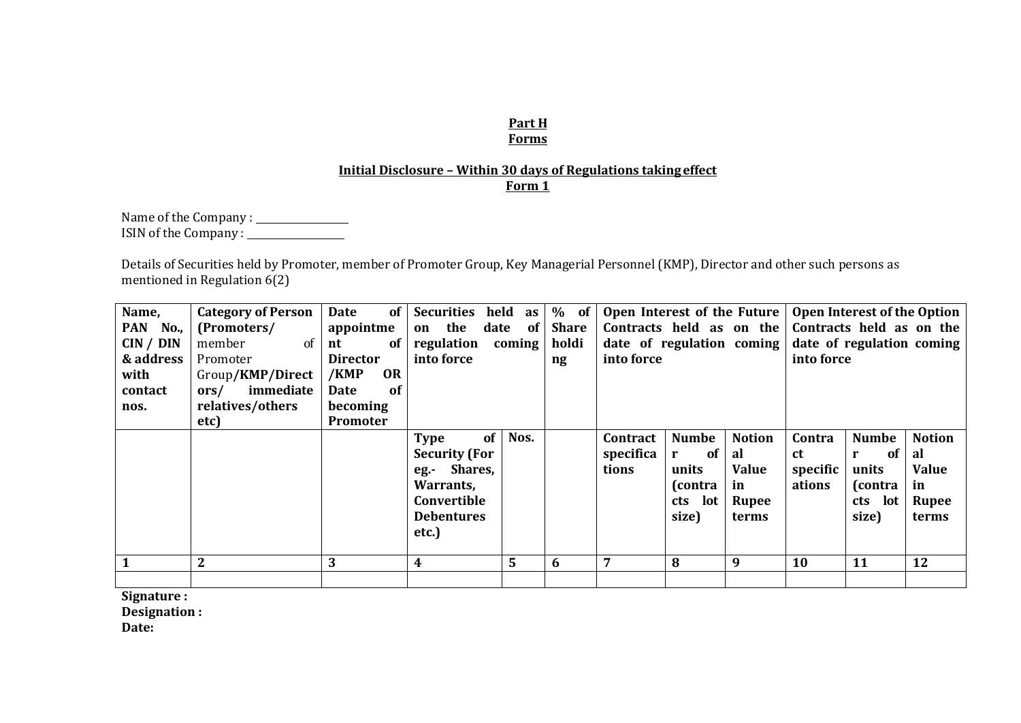#### **Part H Forms**

# **Initial Disclosure – Within 30 days of Regulations takingeffect Form 1**

Name of the Company : ISIN of the Company :

Details of Securities held by Promoter, member of Promoter Group, Key Managerial Personnel (KMP), Director and other such persons as mentioned in Regulation 6(2)

| Name,<br>PAN No.,<br>CIN / DIN<br>& address | <b>Category of Person</b><br>(Promoters/<br>of<br>member<br>Promoter | <b>of</b><br>Date<br>appointme<br>-of<br>nt<br><b>Director</b>            | <b>Securities</b><br>held<br>the<br>date<br>on<br>regulation<br>into force                                                       | as  <br><b>of</b><br>coming | $%$ of<br><b>Share</b><br>holdi<br>ng | into force                     |                                                                    |                                                             | Open Interest of the Future   Open Interest of the Option<br>Contracts held as on the Contracts held as on the<br>date of regulation coming $\vert$ date of regulation coming<br>into force |                                                                    |                                                                    |  |  |
|---------------------------------------------|----------------------------------------------------------------------|---------------------------------------------------------------------------|----------------------------------------------------------------------------------------------------------------------------------|-----------------------------|---------------------------------------|--------------------------------|--------------------------------------------------------------------|-------------------------------------------------------------|---------------------------------------------------------------------------------------------------------------------------------------------------------------------------------------------|--------------------------------------------------------------------|--------------------------------------------------------------------|--|--|
| with<br>contact<br>nos.                     | Group/KMP/Direct<br>immediate<br>ors/<br>relatives/others<br>etc)    | <b>OR</b><br>/KMP<br><sub>of</sub><br>Date<br>becoming<br><b>Promoter</b> |                                                                                                                                  |                             |                                       |                                |                                                                    |                                                             |                                                                                                                                                                                             |                                                                    |                                                                    |  |  |
|                                             |                                                                      |                                                                           | of <sub>1</sub><br><b>Type</b><br><b>Security (For</b><br>eg.- Shares,<br>Warrants,<br>Convertible<br><b>Debentures</b><br>etc.) | Nos.                        |                                       | Contract<br>specifica<br>tions | <b>Numbe</b><br>of<br>r<br>units<br>(contra<br>lot<br>cts<br>size) | <b>Notion</b><br>al<br><b>Value</b><br>in<br>Rupee<br>terms | Contra<br><b>ct</b><br>specific<br>ations                                                                                                                                                   | <b>Numbe</b><br>of<br>r<br>units<br>(contra<br>lot<br>cts<br>size) | <b>Notion</b><br>al<br><b>Value</b><br>in<br><b>Rupee</b><br>terms |  |  |
| $\mathbf{1}$                                | $\overline{2}$                                                       | 3                                                                         | 4                                                                                                                                | 5                           | -6                                    |                                | 8                                                                  | 9                                                           | <b>10</b>                                                                                                                                                                                   | 11                                                                 | 12                                                                 |  |  |
|                                             |                                                                      |                                                                           |                                                                                                                                  |                             |                                       |                                |                                                                    |                                                             |                                                                                                                                                                                             |                                                                    |                                                                    |  |  |

**Signature :** 

**Designation :** 

**Date:**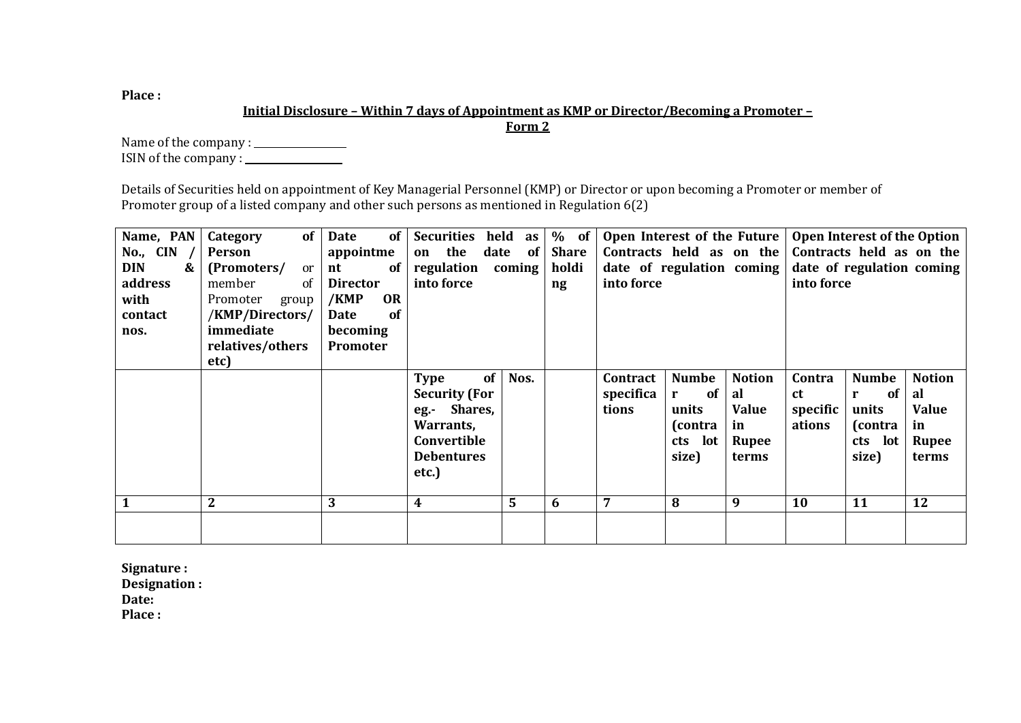**Place :**

# **Initial Disclosure – Within 7 days of Appointment as KMP or Director/Becoming a Promoter –**

**Form 2**

Name of the company : ISIN of the company :

Details of Securities held on appointment of Key Managerial Personnel (KMP) or Director or upon becoming a Promoter or member of Promoter group of a listed company and other such persons as mentioned in Regulation 6(2)

| Name, PAN   Category | of                | <b>Date</b><br><b>of</b> | <b>Securities</b><br>held | as          | $%$ of                 | Open Interest of the Future   Open Interest of the Option |              |               |                           |                          |               |  |
|----------------------|-------------------|--------------------------|---------------------------|-------------|------------------------|-----------------------------------------------------------|--------------|---------------|---------------------------|--------------------------|---------------|--|
| No., $CIN$           | Person            | appointme                | the<br>date<br>on         | of          | <b>Share</b>           | Contracts held as on the                                  |              |               |                           | Contracts held as on the |               |  |
| <b>DIN</b><br>&      | (Promoters/<br>or | of<br>nt                 | regulation                | coming      | holdi                  | date of regulation coming                                 |              |               | date of regulation coming |                          |               |  |
| address              | member<br>of      | <b>Director</b>          | into force                |             | $\mathbf{n}\mathbf{g}$ | into force                                                |              |               | into force                |                          |               |  |
| with                 | Promoter<br>group | <b>OR</b><br>/KMP        |                           |             |                        |                                                           |              |               |                           |                          |               |  |
| contact              | /KMP/Directors/   | of<br>Date               |                           |             |                        |                                                           |              |               |                           |                          |               |  |
| nos.                 | immediate         | becoming                 |                           |             |                        |                                                           |              |               |                           |                          |               |  |
|                      | relatives/others  | Promoter                 |                           |             |                        |                                                           |              |               |                           |                          |               |  |
|                      | etc)              |                          |                           |             |                        |                                                           |              |               |                           |                          |               |  |
|                      |                   |                          | of<br><b>Type</b>         | Nos.        |                        | Contract                                                  | <b>Numbe</b> | <b>Notion</b> | Contra                    | <b>Numbe</b>             | <b>Notion</b> |  |
|                      |                   |                          | <b>Security (For</b>      |             |                        | specifica                                                 | 0f<br>r      | al            | <b>ct</b>                 | <b>of</b><br>r           | al            |  |
|                      |                   |                          | eg.- Shares,              |             |                        | tions                                                     | units        | <b>Value</b>  | specific                  | units                    | <b>Value</b>  |  |
|                      |                   |                          | Warrants,                 |             |                        |                                                           | (contra      | in            | ations                    | (contra                  | in            |  |
|                      |                   |                          | Convertible               |             |                        |                                                           | cts lot      | Rupee         |                           | lot<br>cts               | Rupee         |  |
|                      |                   |                          | <b>Debentures</b>         |             |                        |                                                           | size)        | terms         |                           | size)                    | terms         |  |
|                      |                   |                          | etc.)                     |             |                        |                                                           |              |               |                           |                          |               |  |
|                      |                   |                          |                           |             |                        |                                                           |              |               |                           |                          |               |  |
|                      | $\mathbf{2}$      | 3                        | 4                         | $5^{\circ}$ | 6                      | 7                                                         | 8            | 9             | 10                        | 11                       | 12            |  |
|                      |                   |                          |                           |             |                        |                                                           |              |               |                           |                          |               |  |
|                      |                   |                          |                           |             |                        |                                                           |              |               |                           |                          |               |  |

**Signature : Designation : Date: Place :**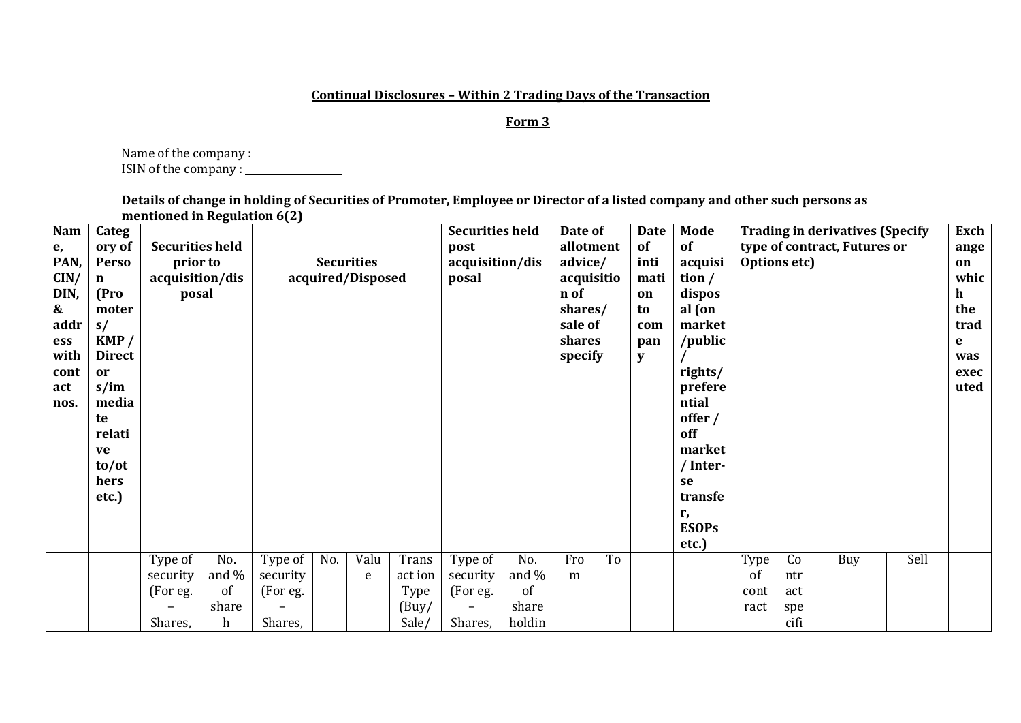#### **Continual Disclosures – Within 2 Trading Days of the Transaction**

#### **Form 3**

Name of the company : ISIN of the company :

**Details of change in holding of Securities of Promoter, Employee or Director of a listed company and other such persons as mentioned in Regulation 6(2)**

| Nam<br>e,<br>PAN,<br>CIN/<br>DIN,<br>$\boldsymbol{\&}$<br>addr<br>ess<br>with<br>cont<br>act<br>nos. | Categ<br>ory of<br><b>Perso</b><br>n<br>(Pro<br>moter<br>s/<br>KMP/<br><b>Direct</b><br><sub>or</sub><br>$s/$ im<br>media<br>te<br>relati<br>ve<br>to/ot<br>hers<br>etc.) | <b>Securities held</b><br>prior to<br>acquisition/dis<br>posal |                  |          |     | <b>Securities</b><br>acquired/Disposed |               | <b>Securities held</b><br>post<br>acquisition/dis<br>posal |                | Date of<br>allotment<br>advice/<br>acquisitio<br>n of<br>shares/<br>sale of<br>shares<br>specify |    | <b>Date</b><br>of<br>inti<br>mati<br>on<br>to<br>com<br>pan<br>y | Mode<br>of<br>acquisi<br>tion $/$<br>dispos<br>al (on<br>market<br>/public<br>rights/<br>prefere<br>ntial<br>offer /<br>off<br>market<br>/ Inter-<br>se<br>transfe<br>r, | Options etc) |            | <b>Trading in derivatives (Specify</b><br>type of contract, Futures or |      | Exch<br>ange<br>on<br>whic<br>h<br>the<br>trad<br>e<br>was<br>exec<br>uted |
|------------------------------------------------------------------------------------------------------|---------------------------------------------------------------------------------------------------------------------------------------------------------------------------|----------------------------------------------------------------|------------------|----------|-----|----------------------------------------|---------------|------------------------------------------------------------|----------------|--------------------------------------------------------------------------------------------------|----|------------------------------------------------------------------|--------------------------------------------------------------------------------------------------------------------------------------------------------------------------|--------------|------------|------------------------------------------------------------------------|------|----------------------------------------------------------------------------|
|                                                                                                      |                                                                                                                                                                           |                                                                |                  |          |     |                                        |               |                                                            |                |                                                                                                  |    |                                                                  | <b>ESOPs</b><br>etc.)                                                                                                                                                    |              |            |                                                                        |      |                                                                            |
|                                                                                                      |                                                                                                                                                                           | Type of                                                        | No.              | Type of  | No. | Valu                                   | Trans         | Type of                                                    | No.            | Fro                                                                                              | To |                                                                  |                                                                                                                                                                          | Type         | Co         | Buy                                                                    | Sell |                                                                            |
|                                                                                                      |                                                                                                                                                                           | security                                                       | and $\%$<br>of   | security |     | e                                      | act ion       | security                                                   | and $\%$<br>of | m                                                                                                |    |                                                                  |                                                                                                                                                                          | of           | ntr        |                                                                        |      |                                                                            |
|                                                                                                      |                                                                                                                                                                           | (For eg.                                                       | share            | (For eg. |     |                                        | Type<br>(Buy) | (For eg.<br>$\qquad \qquad -$                              | share          |                                                                                                  |    |                                                                  |                                                                                                                                                                          | cont<br>ract | act<br>spe |                                                                        |      |                                                                            |
|                                                                                                      |                                                                                                                                                                           | Shares,                                                        | $\boldsymbol{h}$ | Shares,  |     |                                        | Sale/         | Shares,                                                    | holdin         |                                                                                                  |    |                                                                  |                                                                                                                                                                          |              | cifi       |                                                                        |      |                                                                            |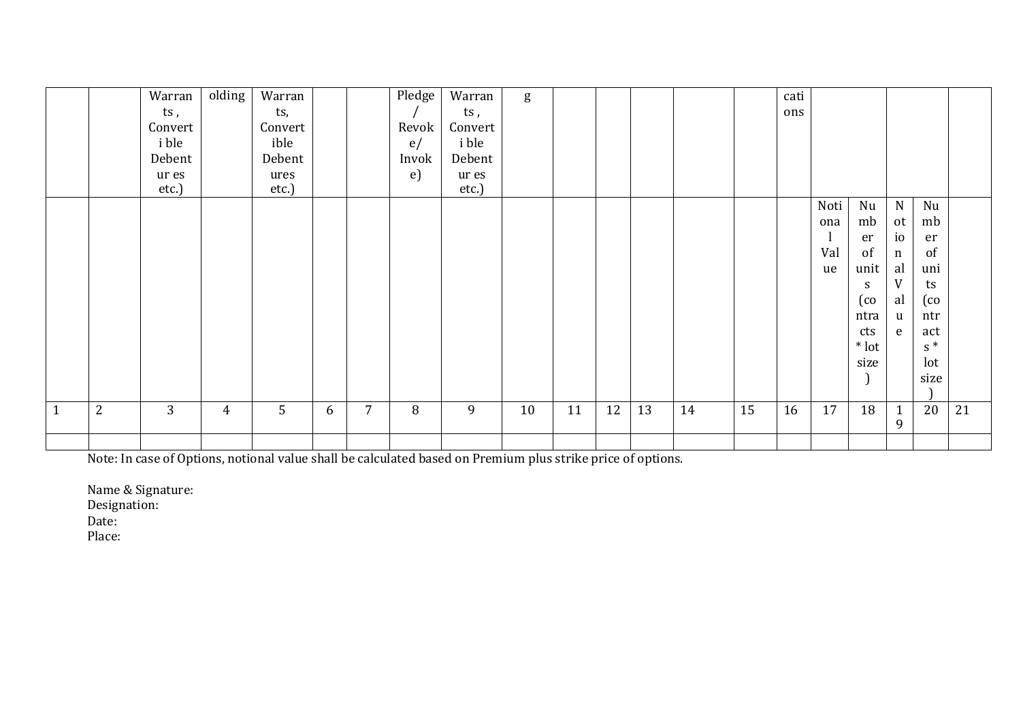|              |   | Warran         | olding         | Warran        |   |                | Pledge     | Warran         | g  |    |    |    |    |    | cati |      |              |                |                            |    |
|--------------|---|----------------|----------------|---------------|---|----------------|------------|----------------|----|----|----|----|----|----|------|------|--------------|----------------|----------------------------|----|
|              |   | ts,            |                | ts,           |   |                |            | ts,            |    |    |    |    |    |    | ons  |      |              |                |                            |    |
|              |   | Convert        |                | Convert       |   |                | Revok      | Convert        |    |    |    |    |    |    |      |      |              |                |                            |    |
|              |   | i ble          |                | ible          |   |                | e/         | i ble          |    |    |    |    |    |    |      |      |              |                |                            |    |
|              |   | Debent         |                | Debent        |   |                | Invok      | Debent         |    |    |    |    |    |    |      |      |              |                |                            |    |
|              |   | ur es<br>etc.) |                | ures<br>etc.) |   |                | $\epsilon$ | ur es<br>etc.) |    |    |    |    |    |    |      |      |              |                |                            |    |
|              |   |                |                |               |   |                |            |                |    |    |    |    |    |    |      | Noti | Nu           | $\mathbf N$    | Nu                         |    |
|              |   |                |                |               |   |                |            |                |    |    |    |    |    |    |      | ona  | mb           | ot             | mb                         |    |
|              |   |                |                |               |   |                |            |                |    |    |    |    |    |    |      |      | er           | i <sub>0</sub> | er                         |    |
|              |   |                |                |               |   |                |            |                |    |    |    |    |    |    |      | Val  | of           | $\mathbf n$    | of                         |    |
|              |   |                |                |               |   |                |            |                |    |    |    |    |    |    |      | ue   | unit         | al             | uni                        |    |
|              |   |                |                |               |   |                |            |                |    |    |    |    |    |    |      |      | S            | V              | ts                         |    |
|              |   |                |                |               |   |                |            |                |    |    |    |    |    |    |      |      | $(\text{co}$ | al             | $\left(\mathrm{co}\right)$ |    |
|              |   |                |                |               |   |                |            |                |    |    |    |    |    |    |      |      | ntra         | $\mathbf{u}$   | ntr                        |    |
|              |   |                |                |               |   |                |            |                |    |    |    |    |    |    |      |      | cts          | e              | act                        |    |
|              |   |                |                |               |   |                |            |                |    |    |    |    |    |    |      |      | $*$ lot      |                | $s^*$                      |    |
|              |   |                |                |               |   |                |            |                |    |    |    |    |    |    |      |      | size         |                | lot                        |    |
|              |   |                |                |               |   |                |            |                |    |    |    |    |    |    |      |      |              |                | size                       |    |
| $\mathbf{1}$ | 2 | 3              | $\overline{4}$ | 5             | 6 | $\overline{7}$ | 8          | 9              | 10 | 11 | 12 | 13 | 14 | 15 | 16   | 17   | 18           | $\mathbf{1}$   | 20                         | 21 |
|              |   |                |                |               |   |                |            |                |    |    |    |    |    |    |      |      |              | 9              |                            |    |
|              |   |                |                |               |   |                |            |                |    |    |    |    |    |    |      |      |              |                |                            |    |

Note: In case of Options, notional value shall be calculated based on Premium plus strike price of options.

Name & Signature:

Designation:

Date:

Place: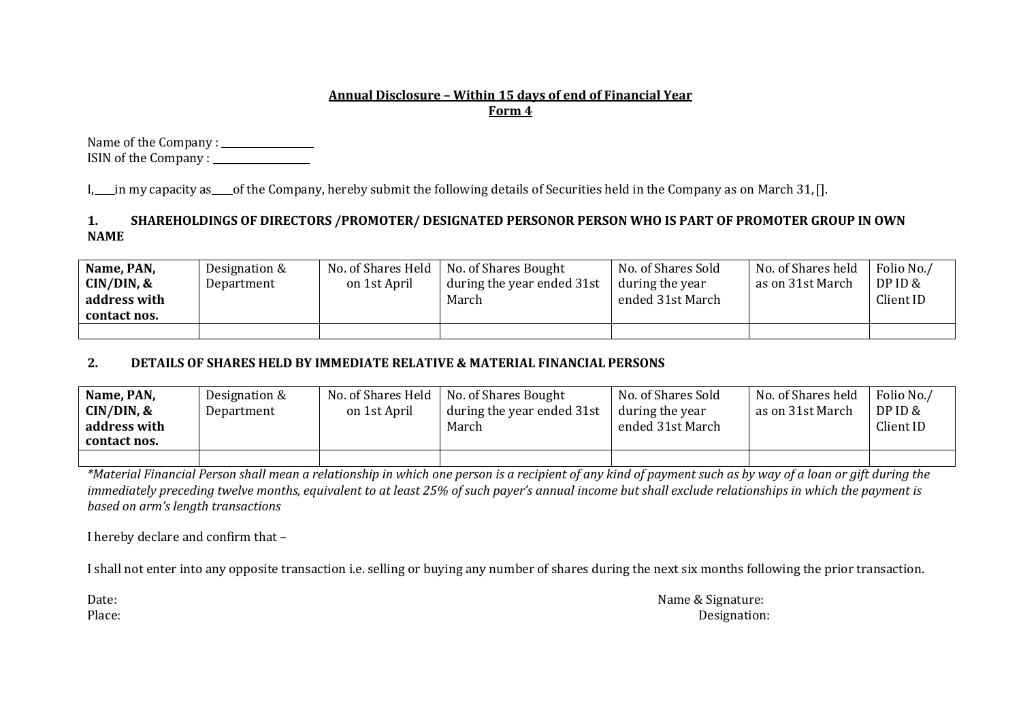## **Annual Disclosure – Within 15 days of end of Financial Year Form 4**

Name of the Company : ISIN of the Company :

I, in my capacity as of the Company, hereby submit the following details of Securities held in the Company as on March 31,[].

# **1. SHAREHOLDINGS OF DIRECTORS /PROMOTER/ DESIGNATED PERSONOR PERSON WHO IS PART OF PROMOTER GROUP IN OWN NAME**

| Name, PAN,<br>CIN/DIN, &<br>address with<br>contact nos. | Designation &<br>Department | on 1st April | No. of Shares Held   No. of Shares Bought<br>during the year ended 31st<br>March | No. of Shares Sold<br>during the year<br>ended 31st March | No. of Shares held<br>as on 31st March | Folio No./<br>DPID &<br>Client ID |
|----------------------------------------------------------|-----------------------------|--------------|----------------------------------------------------------------------------------|-----------------------------------------------------------|----------------------------------------|-----------------------------------|
|                                                          |                             |              |                                                                                  |                                                           |                                        |                                   |

# **2. DETAILS OF SHARES HELD BY IMMEDIATE RELATIVE & MATERIAL FINANCIAL PERSONS**

| Name, PAN,<br>CIN/DIN, &<br>address with<br>contact nos. | Designation &<br>Department | on 1st April | No. of Shares Held   No. of Shares Bought<br>during the year ended 31st<br>March | No. of Shares Sold<br>during the year<br>ended 31st March | No. of Shares held<br>as on 31st March | Folio No./<br>DPID &<br>Client ID |
|----------------------------------------------------------|-----------------------------|--------------|----------------------------------------------------------------------------------|-----------------------------------------------------------|----------------------------------------|-----------------------------------|
|                                                          |                             |              |                                                                                  |                                                           |                                        |                                   |

*\*Material Financial Person shall mean a relationship in which one person is a recipient of any kind of payment such as by way of a loan or gift during the immediately preceding twelve months, equivalent to at least 25% of such payer's annual income but shall exclude relationships in which the payment is based on arm's length transactions*

I hereby declare and confirm that –

I shall not enter into any opposite transaction i.e. selling or buying any number of shares during the next six months following the prior transaction.

Date: Name & Signature: Place: Designation: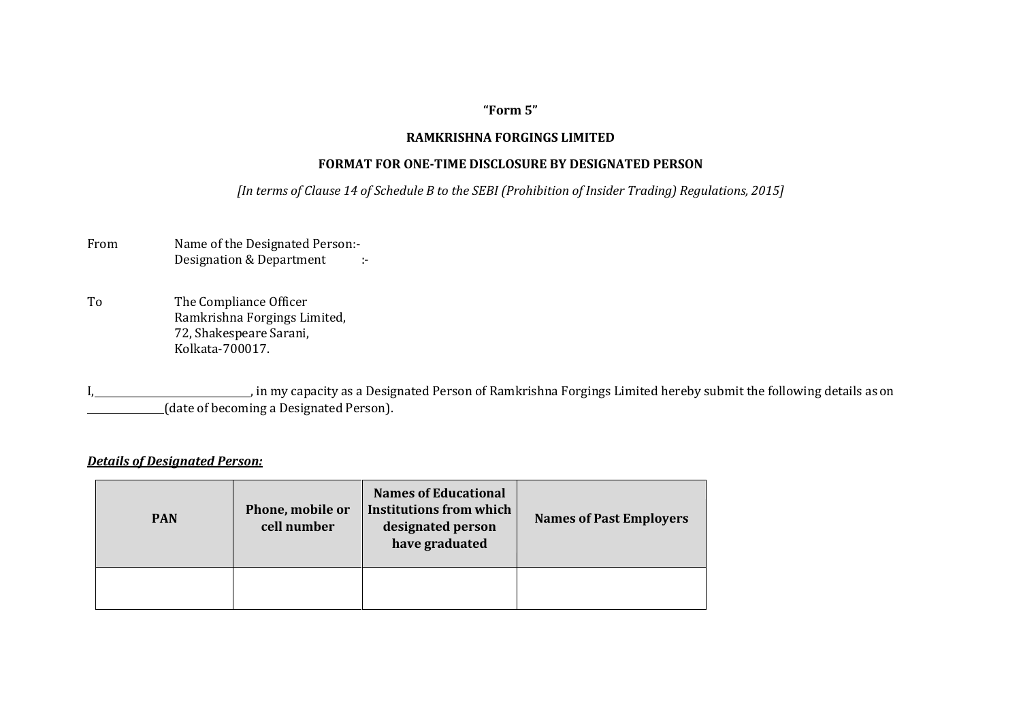# **"Form 5"**

#### **RAMKRISHNA FORGINGS LIMITED**

#### **FORMAT FOR ONE-TIME DISCLOSURE BY DESIGNATED PERSON**

*[In terms of Clause 14 of Schedule B to the SEBI (Prohibition of Insider Trading) Regulations, 2015]*

| From | Name of the Designated Person:- |  |
|------|---------------------------------|--|
|      | Designation & Department        |  |

To The Compliance Officer Ramkrishna Forgings Limited, 72, Shakespeare Sarani, Kolkata-700017.

in my capacity as a Designated Person of Ramkrishna Forgings Limited hereby submit the following details as on (date of becoming a Designated Person).

#### *Details of Designated Person:*

| <b>PAN</b> | Phone, mobile or<br>cell number | <b>Names of Educational</b><br>Institutions from which<br>designated person<br>have graduated | <b>Names of Past Employers</b> |
|------------|---------------------------------|-----------------------------------------------------------------------------------------------|--------------------------------|
|            |                                 |                                                                                               |                                |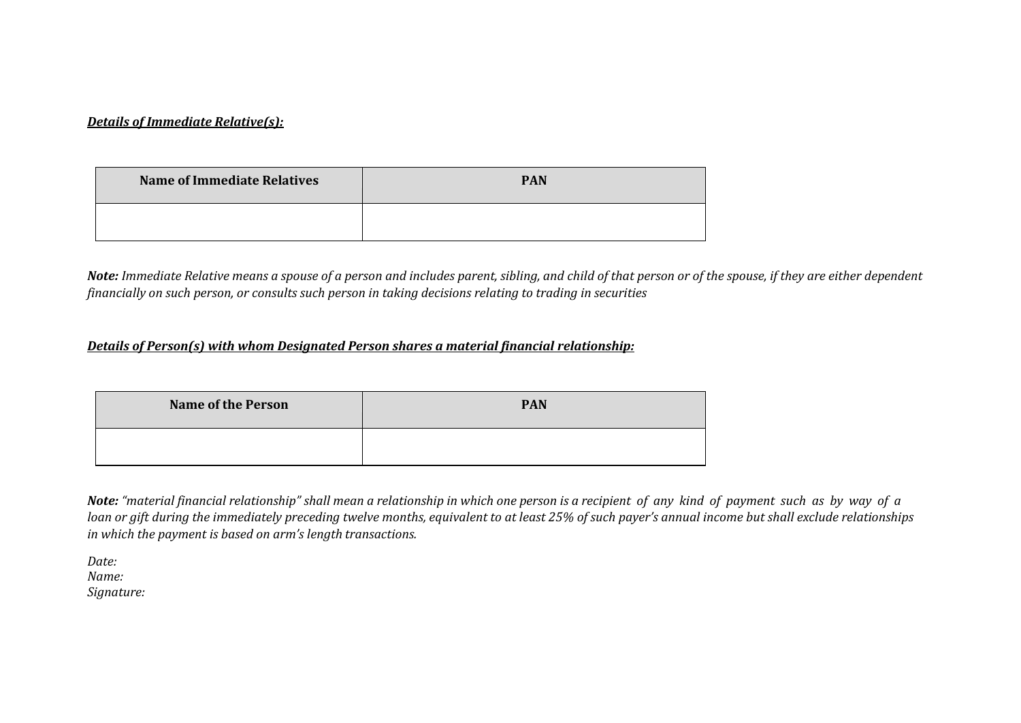#### *Details of Immediate Relative(s):*

| <b>Name of Immediate Relatives</b> | <b>PAN</b> |
|------------------------------------|------------|
|                                    |            |

*Note: Immediate Relative means a spouse of a person and includes parent, sibling, and child of that person or of the spouse, if they are either dependent financially on such person, or consults such person in taking decisions relating to trading in securities*

#### *Details of Person(s) with whom Designated Person shares a material financial relationship:*

| <b>Name of the Person</b> | <b>PAN</b> |
|---------------------------|------------|
|                           |            |

*Note: "material financial relationship" shall mean a relationship in which one person is a recipient of any kind of payment such as by way of a loan or gift during the immediately preceding twelve months, equivalent to at least 25% of such payer's annual income but shall exclude relationships in which the payment is based on arm's length transactions.*

*Date: Name: Signature:*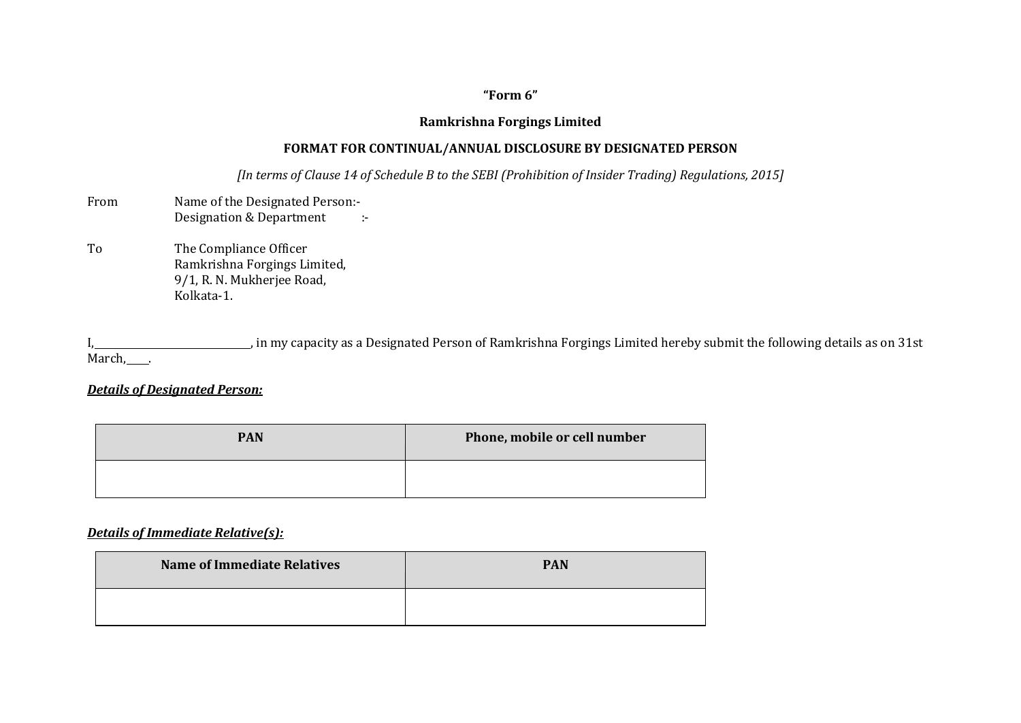# **"Form 6"**

#### **Ramkrishna Forgings Limited**

### **FORMAT FOR CONTINUAL/ANNUAL DISCLOSURE BY DESIGNATED PERSON**

*[In terms of Clause 14 of Schedule B to the SEBI (Prohibition of Insider Trading) Regulations, 2015]*

- From Name of the Designated Person:-Designation & Department :-
- To The Compliance Officer Ramkrishna Forgings Limited, 9/1, R. N. Mukherjee Road, Kolkata-1.

I, 1. 1. in my capacity as a Designated Person of Ramkrishna Forgings Limited hereby submit the following details as on 31st March, .

### *Details of Designated Person:*

| <b>PAN</b> | Phone, mobile or cell number |
|------------|------------------------------|
|            |                              |

#### *Details of Immediate Relative(s):*

| <b>Name of Immediate Relatives</b> | <b>PAN</b> |
|------------------------------------|------------|
|                                    |            |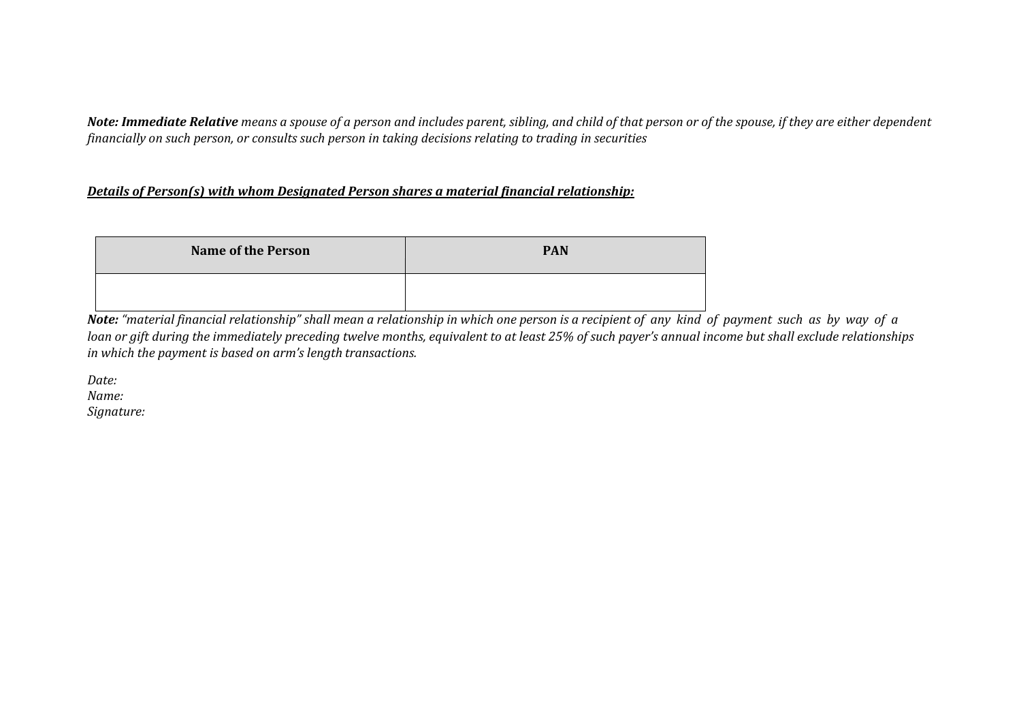*Note: Immediate Relative means a spouse of a person and includes parent, sibling, and child of that person or of the spouse, if they are either dependent financially on such person, or consults such person in taking decisions relating to trading in securities*

### *Details of Person(s) with whom Designated Person shares a material financial relationship:*

| <b>Name of the Person</b> | <b>PAN</b> |
|---------------------------|------------|
|                           |            |

*Note: "material financial relationship" shall mean a relationship in which one person is a recipient of any kind of payment such as by way of a loan or gift during the immediately preceding twelve months, equivalent to at least 25% of such payer's annual income but shall exclude relationships in which the payment is based on arm's length transactions.*

*Date: Name: Signature:*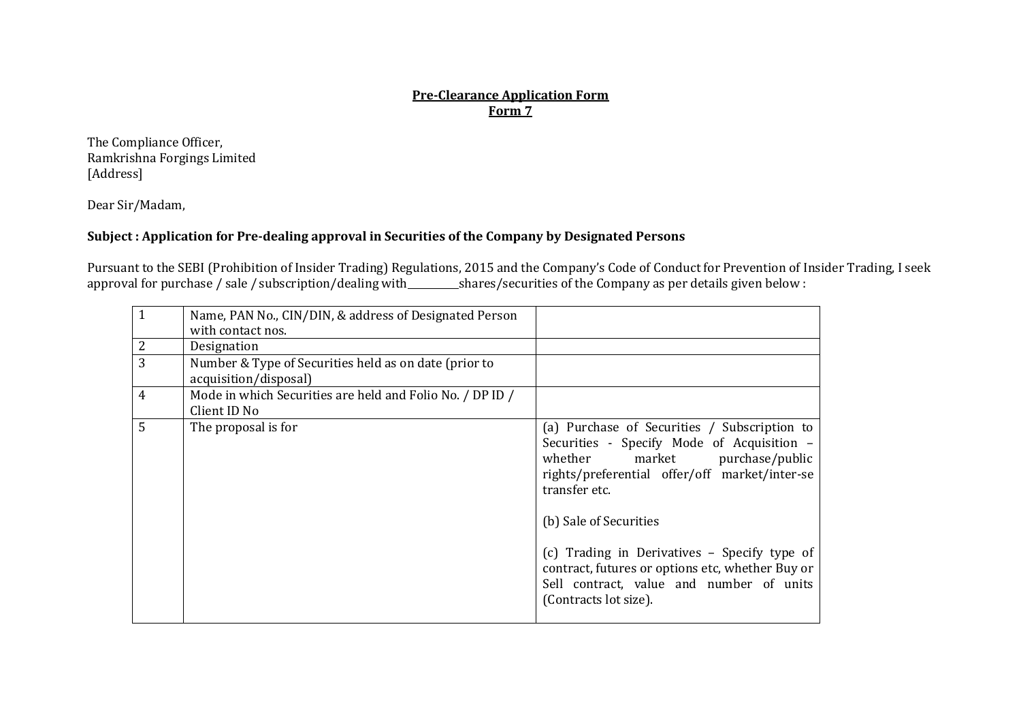### **Pre-Clearance Application Form Form 7**

The Compliance Officer, Ramkrishna Forgings Limited [Address]

Dear Sir/Madam,

### **Subject : Application for Pre-dealing approval in Securities of the Company by Designated Persons**

Pursuant to the SEBI (Prohibition of Insider Trading) Regulations, 2015 and the Company's Code of Conduct for Prevention of Insider Trading, I seek approval for purchase / sale / subscription/dealing with shares/securities of the Company as per details given below :

| $\mathbf{1}$   | Name, PAN No., CIN/DIN, & address of Designated Person<br>with contact nos.    |                                                                                                                                                                                                                                                                                                                                                                                                   |
|----------------|--------------------------------------------------------------------------------|---------------------------------------------------------------------------------------------------------------------------------------------------------------------------------------------------------------------------------------------------------------------------------------------------------------------------------------------------------------------------------------------------|
| $\overline{2}$ | Designation                                                                    |                                                                                                                                                                                                                                                                                                                                                                                                   |
| 3              | Number & Type of Securities held as on date (prior to<br>acquisition/disposal) |                                                                                                                                                                                                                                                                                                                                                                                                   |
| 4              | Mode in which Securities are held and Folio No. / DP ID /<br>Client ID No      |                                                                                                                                                                                                                                                                                                                                                                                                   |
| 5              | The proposal is for                                                            | (a) Purchase of Securities / Subscription to<br>Securities - Specify Mode of Acquisition -<br>whether market purchase/public<br>rights/preferential offer/off market/inter-se<br>transfer etc.<br>(b) Sale of Securities<br>(c) Trading in Derivatives - Specify type of<br>contract, futures or options etc, whether Buy or<br>Sell contract, value and number of units<br>(Contracts lot size). |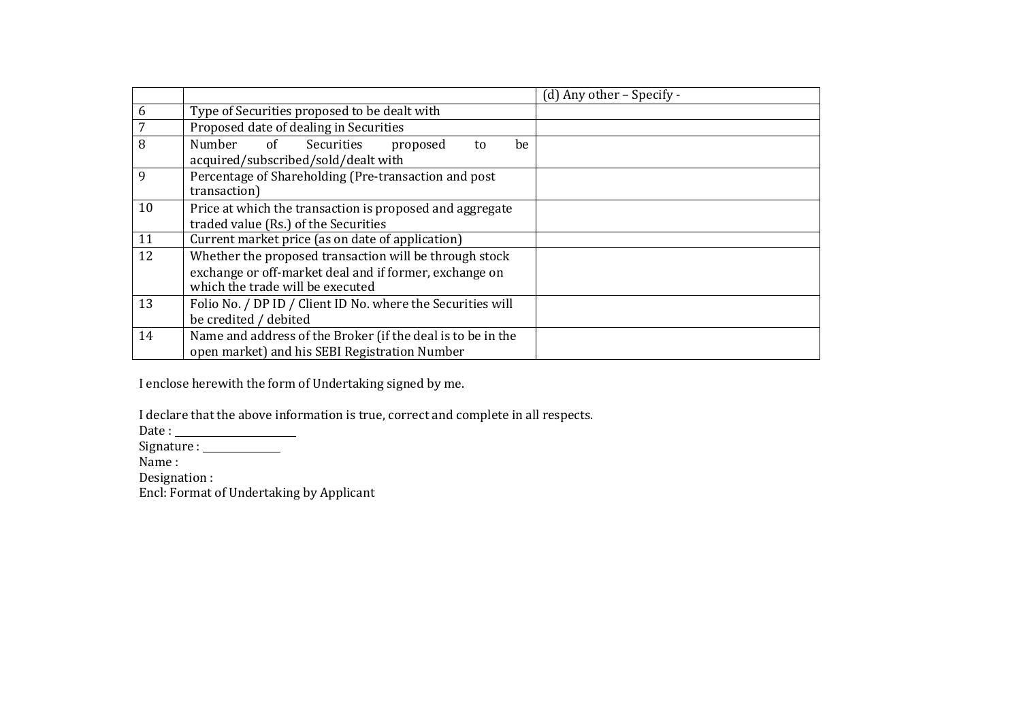|    |                                                                                                                                                      | $(d)$ Any other – Specify - |
|----|------------------------------------------------------------------------------------------------------------------------------------------------------|-----------------------------|
| 6  | Type of Securities proposed to be dealt with                                                                                                         |                             |
|    | Proposed date of dealing in Securities                                                                                                               |                             |
| 8  | Number of Securities<br>proposed<br>be<br>to<br>acquired/subscribed/sold/dealt with                                                                  |                             |
| 9  | Percentage of Shareholding (Pre-transaction and post<br>transaction)                                                                                 |                             |
| 10 | Price at which the transaction is proposed and aggregate<br>traded value (Rs.) of the Securities                                                     |                             |
| 11 | Current market price (as on date of application)                                                                                                     |                             |
| 12 | Whether the proposed transaction will be through stock<br>exchange or off-market deal and if former, exchange on<br>which the trade will be executed |                             |
| 13 | Folio No. / DP ID / Client ID No. where the Securities will<br>be credited / debited                                                                 |                             |
| 14 | Name and address of the Broker (if the deal is to be in the<br>open market) and his SEBI Registration Number                                         |                             |

I enclose herewith the form of Undertaking signed by me.

I declare that the above information is true, correct and complete in all respects.

Date :

Signature :

Name :

Designation :

Encl: Format of Undertaking by Applicant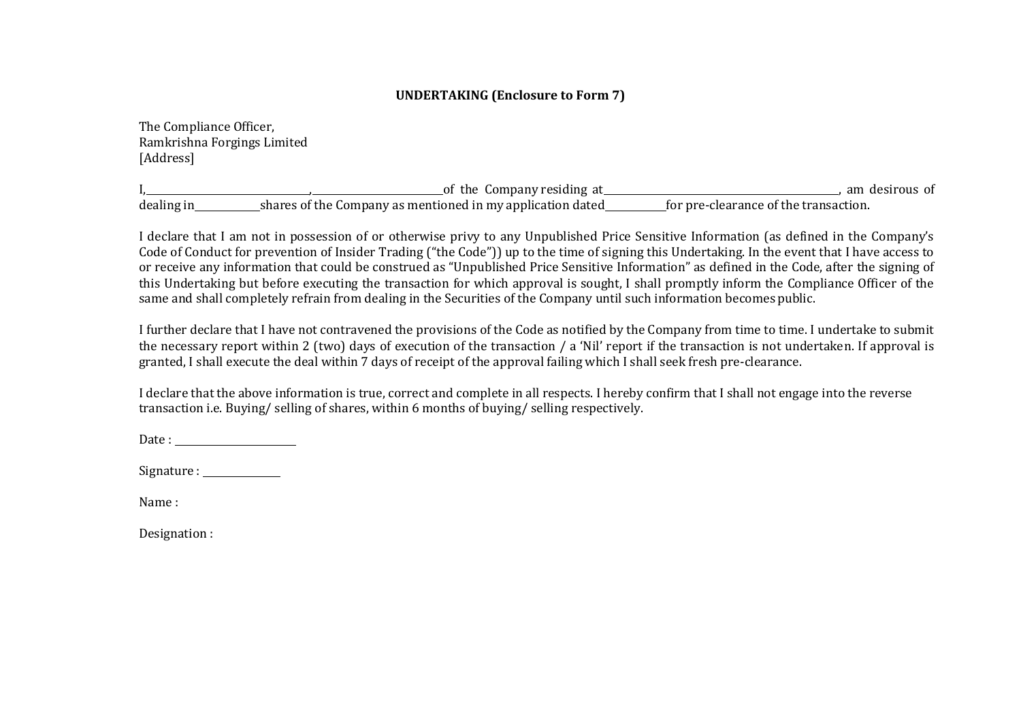# **UNDERTAKING (Enclosure to Form 7)**

The Compliance Officer, Ramkrishna Forgings Limited [Address]

I, , of the Company residing at , am desirous of  $\frac{d}{dt}$  dealing in shares of the Company as mentioned in my application dated

I declare that I am not in possession of or otherwise privy to any Unpublished Price Sensitive Information (as defined in the Company's Code of Conduct for prevention of Insider Trading ("the Code")) up to the time of signing this Undertaking. In the event that I have access to or receive any information that could be construed as "Unpublished Price Sensitive Information" as defined in the Code, after the signing of this Undertaking but before executing the transaction for which approval is sought, I shall promptly inform the Compliance Officer of the same and shall completely refrain from dealing in the Securities of the Company until such information becomespublic.

I further declare that I have not contravened the provisions of the Code as notified by the Company from time to time. I undertake to submit the necessary report within 2 (two) days of execution of the transaction / a 'Nil' report if the transaction is not undertaken. If approval is granted, I shall execute the deal within 7 days of receipt of the approval failing which I shall seek fresh pre-clearance.

I declare that the above information is true, correct and complete in all respects. I hereby confirm that I shall not engage into the reverse transaction i.e. Buying/ selling of shares, within 6 months of buying/ selling respectively.

Date : and the state of the state of the state of the state of the state of the state of the state of the state of the state of the state of the state of the state of the state of the state of the state of the state of the

Signature :

Name :

Designation :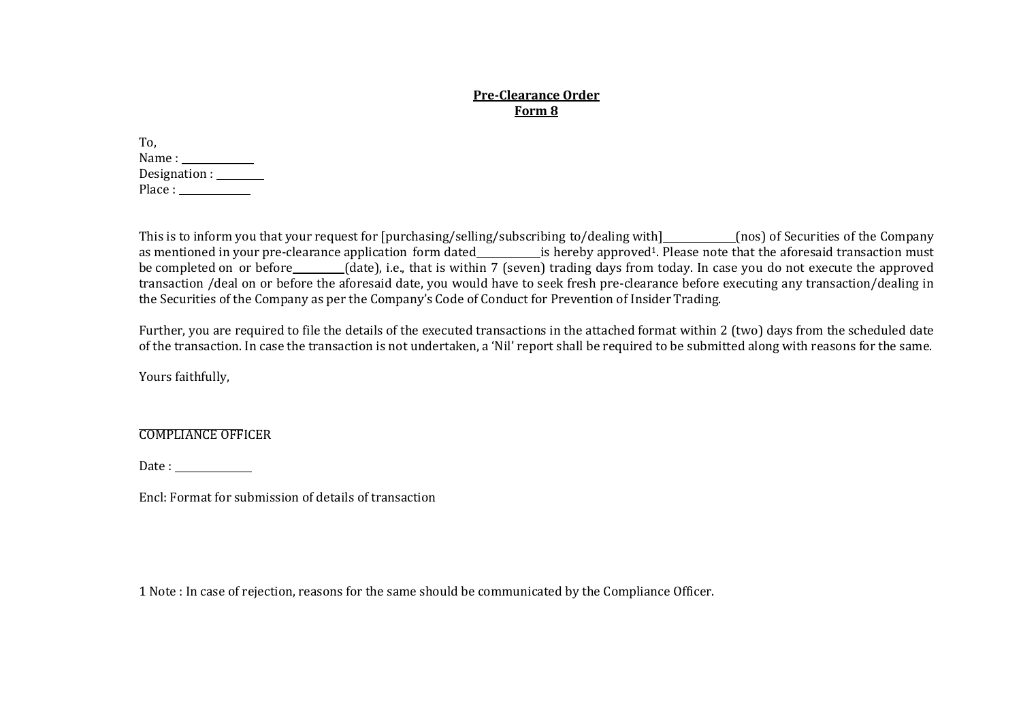#### **Pre-Clearance Order Form 8**

| To.                  |  |
|----------------------|--|
| Name : $\_\_$        |  |
| Designation : $\Box$ |  |
| Place : $\Box$       |  |

This is to inform you that your request for [purchasing/selling/subscribing to/dealing with] (nos) of Securities of the Company as mentioned in your pre-clearance application form dated\_\_\_\_\_\_\_\_\_\_\_\_is hereby approved<sup>1</sup>. Please note that the aforesaid transaction must be completed on or before (date), i.e., that is within 7 (seven) trading days from today. In case you do not execute the approved transaction /deal on or before the aforesaid date, you would have to seek fresh pre-clearance before executing any transaction/dealing in the Securities of the Company as per the Company's Code of Conduct for Prevention of Insider Trading.

Further, you are required to file the details of the executed transactions in the attached format within 2 (two) days from the scheduled date of the transaction. In case the transaction is not undertaken, a 'Nil' report shall be required to be submitted along with reasons for the same.

Yours faithfully,

#### COMPLIANCE OFFICER

Date :

Encl: Format for submission of details of transaction

1 Note : In case of rejection, reasons for the same should be communicated by the Compliance Officer.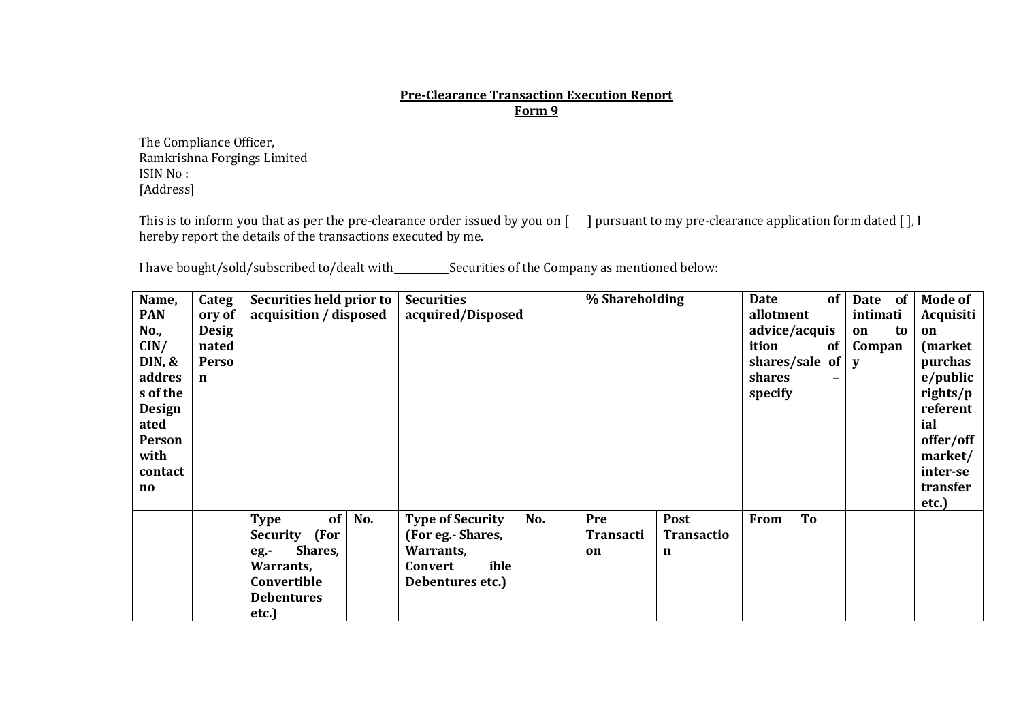#### **Pre-Clearance Transaction Execution Report Form 9**

The Compliance Officer, Ramkrishna Forgings Limited ISIN No : [Address]

This is to inform you that as per the pre-clearance order issued by you on [ ] pursuant to my pre-clearance application form dated [], I hereby report the details of the transactions executed by me.

I have bought/sold/subscribed to/dealt with Securities of the Company as mentioned below:

| Name,<br><b>PAN</b><br>No.,<br>CIN/<br>DIN, &<br>addres<br>s of the<br><b>Design</b><br>ated<br><b>Person</b><br>with<br>contact<br>$\mathbf{n}\mathbf{o}$ | Categ<br>ory of<br><b>Desig</b><br>nated<br><b>Perso</b><br>$\mathbf n$ | Securities held prior to<br>acquisition / disposed                                                                        | <b>Securities</b><br>acquired/Disposed                                                                  | % Shareholding                                                  | of<br><b>Date</b><br>allotment<br>advice/acquis<br>ition<br>of<br>shares/sale of<br>shares<br>-<br>specify | Date<br><b>of</b><br>intimati<br>to<br>on<br>Compan<br>V | <b>Mode of</b><br>Acquisiti<br>on<br>(market)<br>purchas<br>$e$ /public<br>rights/p<br>referent<br>ial<br>offer/off<br>market/<br>inter-se<br>transfer<br>etc.) |
|------------------------------------------------------------------------------------------------------------------------------------------------------------|-------------------------------------------------------------------------|---------------------------------------------------------------------------------------------------------------------------|---------------------------------------------------------------------------------------------------------|-----------------------------------------------------------------|------------------------------------------------------------------------------------------------------------|----------------------------------------------------------|-----------------------------------------------------------------------------------------------------------------------------------------------------------------|
|                                                                                                                                                            |                                                                         | of<br>No.<br><b>Type</b><br>Security (For<br>Shares,<br>$eg.$ -<br>Warrants,<br>Convertible<br><b>Debentures</b><br>etc.) | <b>Type of Security</b><br>No.<br>(For eg.- Shares,<br>Warrants,<br>ible<br>Convert<br>Debentures etc.) | Pre<br>Post<br><b>Transacti</b><br><b>Transactio</b><br>on<br>n | To<br>From                                                                                                 |                                                          |                                                                                                                                                                 |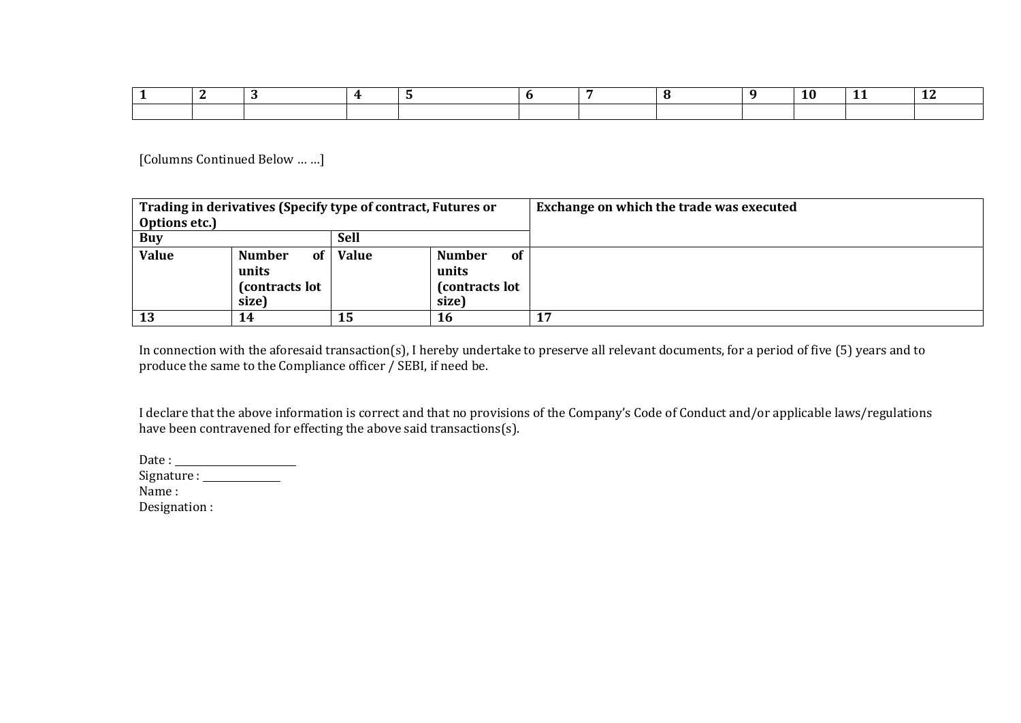[Columns Continued Below … …]

| Trading in derivatives (Specify type of contract, Futures or |                                                          |              |                                                          | Exchange on which the trade was executed |
|--------------------------------------------------------------|----------------------------------------------------------|--------------|----------------------------------------------------------|------------------------------------------|
| Options etc.)                                                |                                                          |              |                                                          |                                          |
| <b>Sell</b><br><b>Buy</b>                                    |                                                          |              |                                                          |                                          |
| <b>Value</b>                                                 | <b>Number</b><br>of<br>units<br>(contracts lot)<br>size) | <b>Value</b> | <b>Number</b><br>of<br>units<br>(contracts lot)<br>size) |                                          |
| <b>13</b>                                                    | 14                                                       | 15           | 16                                                       | 17                                       |

In connection with the aforesaid transaction(s), I hereby undertake to preserve all relevant documents, for a period of five (5) years and to produce the same to the Compliance officer / SEBI, if need be.

I declare that the above information is correct and that no provisions of the Company's Code of Conduct and/or applicable laws/regulations have been contravened for effecting the above said transactions(s).

Date :

Signature :

Name :

Designation :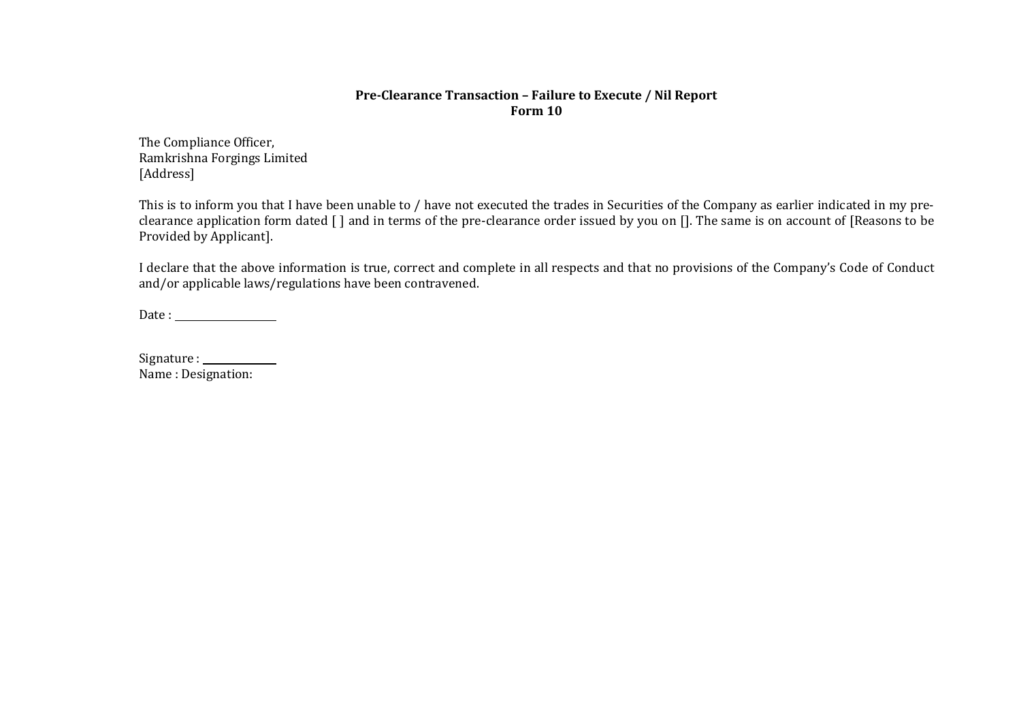#### **Pre-Clearance Transaction – Failure to Execute / Nil Report Form 10**

The Compliance Officer, Ramkrishna Forgings Limited [Address]

This is to inform you that I have been unable to / have not executed the trades in Securities of the Company as earlier indicated in my preclearance application form dated [ ] and in terms of the pre-clearance order issued by you on []. The same is on account of [Reasons to be Provided by Applicant].

I declare that the above information is true, correct and complete in all respects and that no provisions of the Company's Code of Conduct and/or applicable laws/regulations have been contravened.

Date :

| Signature:         |  |
|--------------------|--|
| Name: Designation: |  |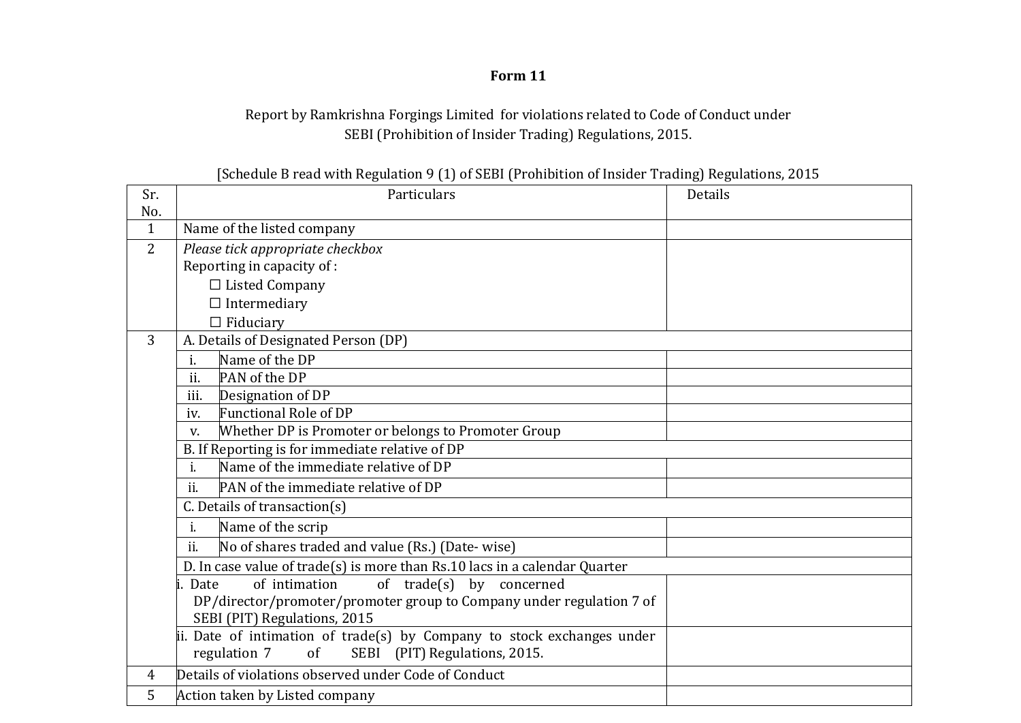# **Form 11**

# Report by Ramkrishna Forgings Limited for violations related to Code of Conduct under SEBI (Prohibition of Insider Trading) Regulations, 2015.

| [Schedule B read with Regulation 9 (1) of SEBI (Prohibition of Insider Trading) Regulations, 2015 |  |  |  |  |
|---------------------------------------------------------------------------------------------------|--|--|--|--|
|                                                                                                   |  |  |  |  |

| Sr.            | Particulars                                                                | Details |  |  |  |  |  |
|----------------|----------------------------------------------------------------------------|---------|--|--|--|--|--|
| No.            |                                                                            |         |  |  |  |  |  |
| $\mathbf{1}$   | Name of the listed company                                                 |         |  |  |  |  |  |
| $\overline{2}$ | Please tick appropriate checkbox                                           |         |  |  |  |  |  |
|                | Reporting in capacity of :                                                 |         |  |  |  |  |  |
|                | $\Box$ Listed Company                                                      |         |  |  |  |  |  |
|                | $\Box$ Intermediary                                                        |         |  |  |  |  |  |
|                | $\Box$ Fiduciary                                                           |         |  |  |  |  |  |
| 3              | A. Details of Designated Person (DP)                                       |         |  |  |  |  |  |
|                | Name of the DP<br>i.                                                       |         |  |  |  |  |  |
|                | ii.<br>PAN of the DP                                                       |         |  |  |  |  |  |
|                | iii.<br>Designation of DP                                                  |         |  |  |  |  |  |
|                | <b>Functional Role of DP</b><br>iv.                                        |         |  |  |  |  |  |
|                | Whether DP is Promoter or belongs to Promoter Group<br>V.                  |         |  |  |  |  |  |
|                | B. If Reporting is for immediate relative of DP                            |         |  |  |  |  |  |
|                | Name of the immediate relative of DP<br>$\mathbf{i}$ .                     |         |  |  |  |  |  |
|                | PAN of the immediate relative of DP<br>ii.                                 |         |  |  |  |  |  |
|                | C. Details of transaction(s)                                               |         |  |  |  |  |  |
|                | Name of the scrip<br>i.                                                    |         |  |  |  |  |  |
|                | ii.<br>No of shares traded and value (Rs.) (Date-wise)                     |         |  |  |  |  |  |
|                | D. In case value of trade(s) is more than Rs.10 lacs in a calendar Quarter |         |  |  |  |  |  |
|                | of intimation<br>of trade(s) by concerned<br>li. Date                      |         |  |  |  |  |  |
|                | DP/director/promoter/promoter group to Company under regulation 7 of       |         |  |  |  |  |  |
|                | SEBI (PIT) Regulations, 2015                                               |         |  |  |  |  |  |
|                | ii. Date of intimation of trade(s) by Company to stock exchanges under     |         |  |  |  |  |  |
|                | regulation 7<br>SEBI (PIT) Regulations, 2015.<br>$\sigma$ f                |         |  |  |  |  |  |
| 4              | Details of violations observed under Code of Conduct                       |         |  |  |  |  |  |
| 5              | Action taken by Listed company                                             |         |  |  |  |  |  |